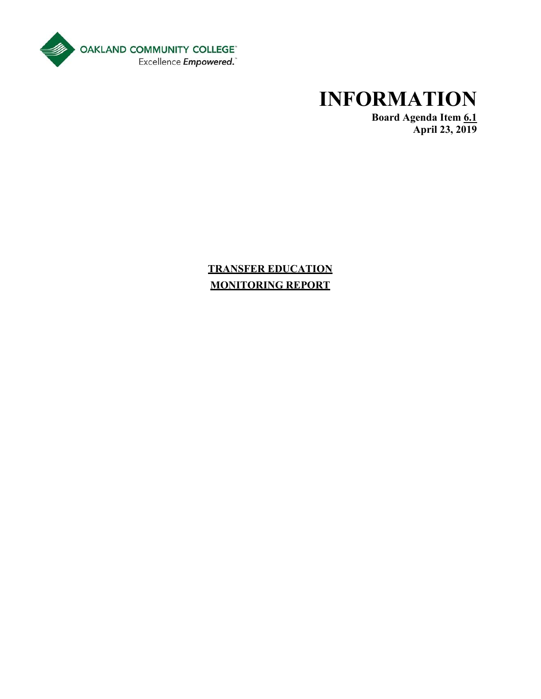

# **INFORMATION**

 **Board Agenda Item 6.1 April 23, 2019** 

**TRANSFER EDUCATION MONITORING REPORT**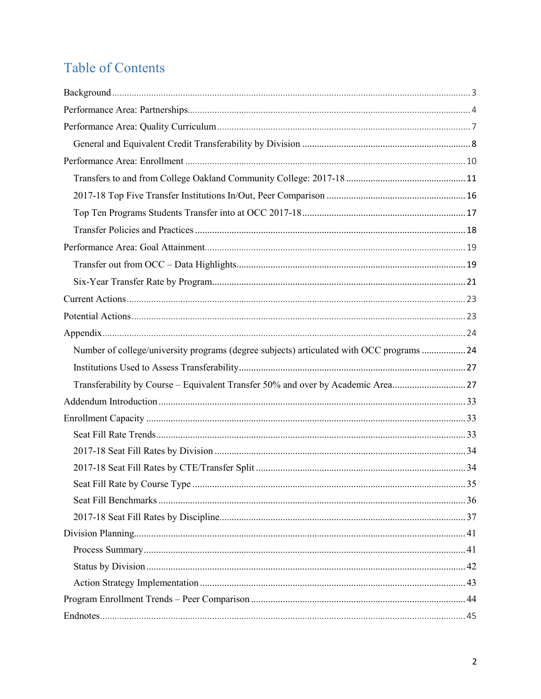# **Table of Contents**

| Number of college/university programs (degree subjects) articulated with OCC programs  24 |  |
|-------------------------------------------------------------------------------------------|--|
|                                                                                           |  |
| Transferability by Course - Equivalent Transfer 50% and over by Academic Area27           |  |
|                                                                                           |  |
|                                                                                           |  |
|                                                                                           |  |
|                                                                                           |  |
|                                                                                           |  |
|                                                                                           |  |
|                                                                                           |  |
|                                                                                           |  |
|                                                                                           |  |
|                                                                                           |  |
|                                                                                           |  |
|                                                                                           |  |
|                                                                                           |  |
|                                                                                           |  |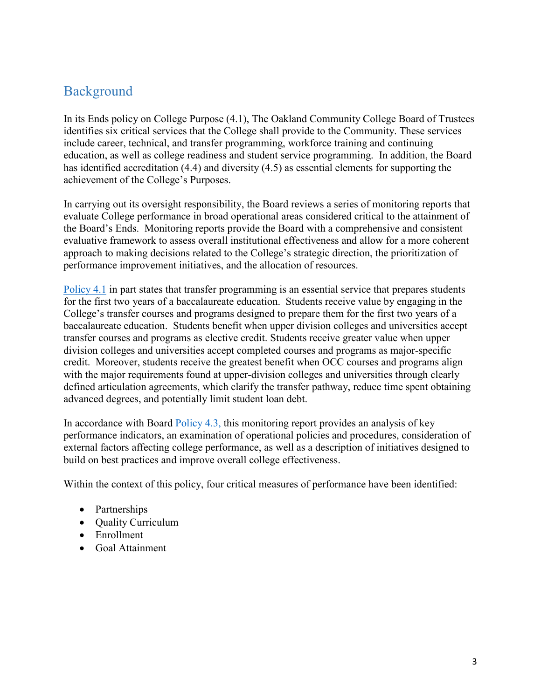# <span id="page-2-0"></span>Background

 include career, technical, and transfer programming, workforce training and continuing In its Ends policy on College Purpose (4.1), The Oakland Community College Board of Trustees identifies six critical services that the College shall provide to the Community. These services education, as well as college readiness and student service programming. In addition, the Board has identified accreditation (4.4) and diversity (4.5) as essential elements for supporting the achievement of the College's Purposes.

 In carrying out its oversight responsibility, the Board reviews a series of monitoring reports that evaluative framework to assess overall institutional effectiveness and allow for a more coherent evaluate College performance in broad operational areas considered critical to the attainment of the Board's Ends. Monitoring reports provide the Board with a comprehensive and consistent approach to making decisions related to the College's strategic direction, the prioritization of performance improvement initiatives, and the allocation of resources.

 for the first two years of a baccalaureate education. Students receive value by engaging in the College's transfer courses and programs designed to prepare them for the first two years of a transfer courses and programs as elective credit. Students receive greater value when upper credit. Moreover, students receive the greatest benefit when OCC courses and programs align [Policy 4.1](https://www.oaklandcc.edu/policies/documents/?file=61) in part states that transfer programming is an essential service that prepares students baccalaureate education. Students benefit when upper division colleges and universities accept division colleges and universities accept completed courses and programs as major-specific with the major requirements found at upper-division colleges and universities through clearly defined articulation agreements, which clarify the transfer pathway, reduce time spent obtaining advanced degrees, and potentially limit student loan debt.

In accordance with Board [Policy 4.3,](https://www.oaklandcc.edu/policies/documents/?file=63) this monitoring report provides an analysis of key performance indicators, an examination of operational policies and procedures, consideration of external factors affecting college performance, as well as a description of initiatives designed to build on best practices and improve overall college effectiveness.

Within the context of this policy, four critical measures of performance have been identified:

- Partnerships
- Quality Curriculum
- Enrollment
- Goal Attainment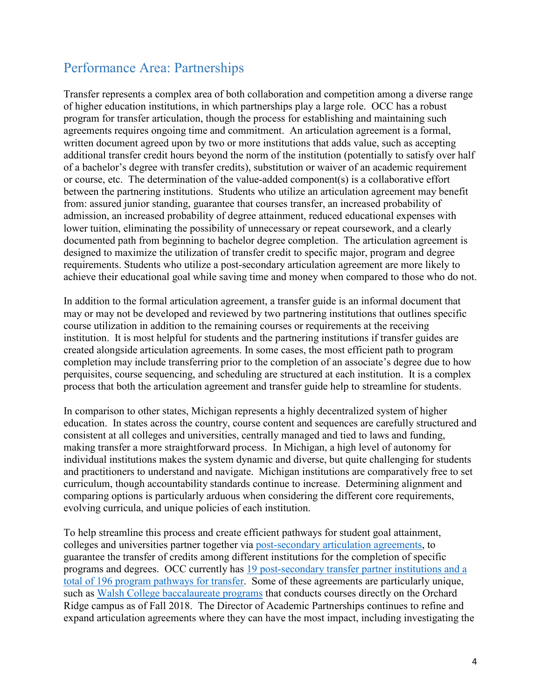# <span id="page-3-0"></span>Performance Area: Partnerships

 Transfer represents a complex area of both collaboration and competition among a diverse range program for transfer articulation, though the process for establishing and maintaining such additional transfer credit hours beyond the norm of the institution (potentially to satisfy over half between the partnering institutions. Students who utilize an articulation agreement may benefit achieve their educational goal while saving time and money when compared to those who do not. of higher education institutions, in which partnerships play a large role. OCC has a robust agreements requires ongoing time and commitment. An articulation agreement is a formal, written document agreed upon by two or more institutions that adds value, such as accepting of a bachelor's degree with transfer credits), substitution or waiver of an academic requirement or course, etc. The determination of the value-added component(s) is a collaborative effort from: assured junior standing, guarantee that courses transfer, an increased probability of admission, an increased probability of degree attainment, reduced educational expenses with lower tuition, eliminating the possibility of unnecessary or repeat coursework, and a clearly documented path from beginning to bachelor degree completion. The articulation agreement is designed to maximize the utilization of transfer credit to specific major, program and degree requirements. Students who utilize a post-secondary articulation agreement are more likely to

achieve their educational goal while saving time and money when compared to those who do not.<br>In addition to the formal articulation agreement, a transfer guide is an informal document that institution. It is most helpful for students and the partnering institutions if transfer guides are completion may include transferring prior to the completion of an associate's degree due to how may or may not be developed and reviewed by two partnering institutions that outlines specific course utilization in addition to the remaining courses or requirements at the receiving created alongside articulation agreements. In some cases, the most efficient path to program perquisites, course sequencing, and scheduling are structured at each institution. It is a complex process that both the articulation agreement and transfer guide help to streamline for students.

 education. In states across the country, course content and sequences are carefully structured and making transfer a more straightforward process. In Michigan, a high level of autonomy for and practitioners to understand and navigate. Michigan institutions are comparatively free to set In comparison to other states, Michigan represents a highly decentralized system of higher consistent at all colleges and universities, centrally managed and tied to laws and funding, individual institutions makes the system dynamic and diverse, but quite challenging for students curriculum, though accountability standards continue to increase. Determining alignment and comparing options is particularly arduous when considering the different core requirements, evolving curricula, and unique policies of each institution.

[total of 196 program pathways for transfer.](#page-23-0) Some of these agreements are particularly unique, Ridge campus as of Fall 2018. The Director of Academic Partnerships continues to refine and To help streamline this process and create efficient pathways for student goal attainment, colleges and universities partner together via [post-secondary articulation agreements,](https://www.oaklandcc.edu/Articulation/postsecondary/Default.aspx) to guarantee the transfer of credits among different institutions for the completion of specific programs and degrees. OCC currently has [19 post-secondary transfer partner institutions and a](#page-23-0)  such as [Walsh College baccalaureate programs](https://www.oaklandcc.edu/walsh/default.aspx) that conducts courses directly on the Orchard expand articulation agreements where they can have the most impact, including investigating the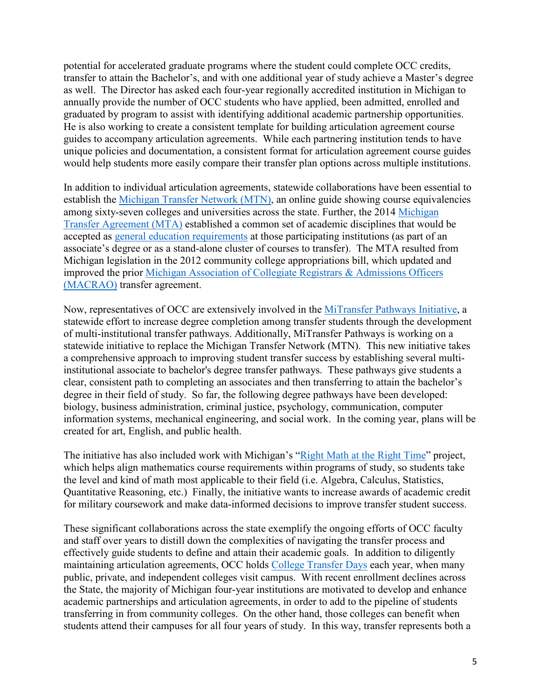transfer to attain the Bachelor's, and with one additional year of study achieve a Master's degree as well. The Director has asked each four-year regionally accredited institution in Michigan to graduated by program to assist with identifying additional academic partnership opportunities. graduated by program to assist with identifying additional academic partnership opportunities.<br>He is also working to create a consistent template for building articulation agreement course guides to accompany articulation agreements. While each partnering institution tends to have unique policies and documentation, a consistent format for articulation agreement course guides would help students more easily compare their transfer plan options across multiple institutions. potential for accelerated graduate programs where the student could complete OCC credits, annually provide the number of OCC students who have applied, been admitted, enrolled and

among sixty-seven colleges and universities across the state. Further, the 2014 Michigan [Transfer Agreement \(MTA\)](https://www.macrao.org/Publications/MTA.asp) established a common set of academic disciplines that would be accepted as [general education requirements](http://catalog.oaklandcc.edu/graduation-requirements/michigan-transfer-agreement/) at those participating institutions (as part of an (MACRAO) transfer agreement. In addition to individual articulation agreements, statewide collaborations have been essential to establish the [Michigan Transfer Network \(MTN\),](https://www.michigantransfernetwork.org/) an online guide showing course equivalencies associate's degree or as a stand-alone cluster of courses to transfer). The MTA resulted from Michigan legislation in the 2012 community college appropriations bill, which updated and improved the prior [Michigan Association of Collegiate Registrars & Admissions Officers](https://www.macrao.org/Publications/MACRAOAgreement.asp) 

 statewide initiative to replace the Michigan Transfer Network (MTN). This new initiative takes information systems, mechanical engineering, and social work. In the coming year, plans will be Now, representatives of OCC are extensively involved in the [MiTransfer Pathways Initiative,](https://www.mitransfer.net/about-the-project) a statewide effort to increase degree completion among transfer students through the development of multi-institutional transfer pathways. Additionally, MiTransfer Pathways is working on a a comprehensive approach to improving student transfer success by establishing several multiinstitutional associate to bachelor's degree transfer pathways. These pathways give students a clear, consistent path to completing an associates and then transferring to attain the bachelor's degree in their field of study. So far, the following degree pathways have been developed: biology, business administration, criminal justice, psychology, communication, computer created for art, English, and public health.

 Quantitative Reasoning, etc.) Finally, the initiative wants to increase awards of academic credit The initiative has also included work with Michigan's ["Right Math at the Right Time"](https://www.mirightmath.org/) project, which helps align mathematics course requirements within programs of study, so students take the level and kind of math most applicable to their field (i.e. Algebra, Calculus, Statistics, for military coursework and make data-informed decisions to improve transfer student success.

 effectively guide students to define and attain their academic goals. In addition to diligently maintaining articulation agreements, OCC holds [College Transfer Days](https://www.oaklandcc.edu/counseling/transfer_days.aspx) each year, when many public, private, and independent colleges visit campus. With recent enrollment declines across academic partnerships and articulation agreements, in order to add to the pipeline of students These significant collaborations across the state exemplify the ongoing efforts of OCC faculty and staff over years to distill down the complexities of navigating the transfer process and the State, the majority of Michigan four-year institutions are motivated to develop and enhance transferring in from community colleges. On the other hand, those colleges can benefit when students attend their campuses for all four years of study. In this way, transfer represents both a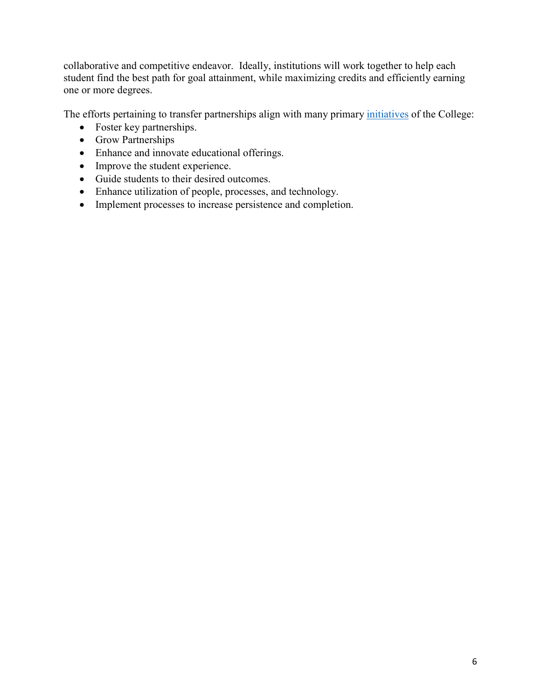one or more degrees. collaborative and competitive endeavor. Ideally, institutions will work together to help each student find the best path for goal attainment, while maximizing credits and efficiently earning

The efforts pertaining to transfer partnerships align with many primary *initiatives* of the College:

- Foster key partnerships.
- Grow Partnerships
- Enhance and innovate educational offerings.
- Improve the student experience.
- Guide students to their desired outcomes.
- Enhance utilization of people, processes, and technology.
- Implement processes to increase persistence and completion.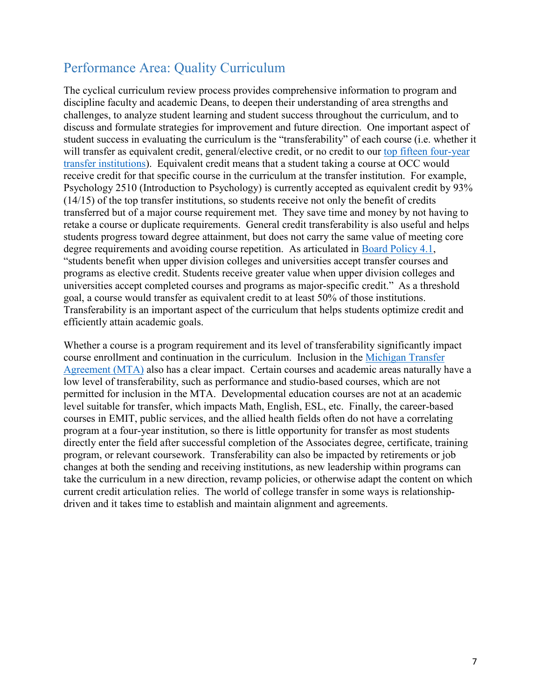# <span id="page-6-0"></span>Performance Area: Quality Curriculum

will transfer as equivalent credit, general/elective credit, or no credit to our top fifteen four-year universities accept completed courses and programs as major-specific credit." As a threshold goal, a course would transfer as equivalent credit to at least 50% of those institutions. efficiently attain academic goals. The cyclical curriculum review process provides comprehensive information to program and discipline faculty and academic Deans, to deepen their understanding of area strengths and challenges, to analyze student learning and student success throughout the curriculum, and to discuss and formulate strategies for improvement and future direction. One important aspect of student success in evaluating the curriculum is the "transferability" of each course (i.e. whether it [transfer institutions\)](#page-26-0). Equivalent credit means that a student taking a course at OCC would receive credit for that specific course in the curriculum at the transfer institution. For example, Psychology 2510 (Introduction to Psychology) is currently accepted as equivalent credit by 93% (14/15) of the top transfer institutions, so students receive not only the benefit of credits transferred but of a major course requirement met. They save time and money by not having to retake a course or duplicate requirements. General credit transferability is also useful and helps students progress toward degree attainment, but does not carry the same value of meeting core degree requirements and avoiding course repetition. As articulated in [Board Policy 4.1,](https://www.oaklandcc.edu/policies/documents/?file=61) "students benefit when upper division colleges and universities accept transfer courses and programs as elective credit. Students receive greater value when upper division colleges and Transferability is an important aspect of the curriculum that helps students optimize credit and

[Agreement \(MTA\)](https://www.macrao.org/Publications/MTA.asp) also has a clear impact. Certain courses and academic areas naturally have a low level of transferability, such as performance and studio-based courses, which are not courses in EMIT, public services, and the allied health fields often do not have a correlating program, or relevant coursework. Transferability can also be impacted by retirements or job take the curriculum in a new direction, revamp policies, or otherwise adapt the content on which current credit articulation relies. The world of college transfer in some ways is relationship-Whether a course is a program requirement and its level of transferability significantly impact course enrollment and continuation in the curriculum. Inclusion in the [Michigan Transfer](https://www.macrao.org/Publications/MTA.asp)  permitted for inclusion in the MTA. Developmental education courses are not at an academic level suitable for transfer, which impacts Math, English, ESL, etc. Finally, the career-based program at a four-year institution, so there is little opportunity for transfer as most students directly enter the field after successful completion of the Associates degree, certificate, training changes at both the sending and receiving institutions, as new leadership within programs can driven and it takes time to establish and maintain alignment and agreements.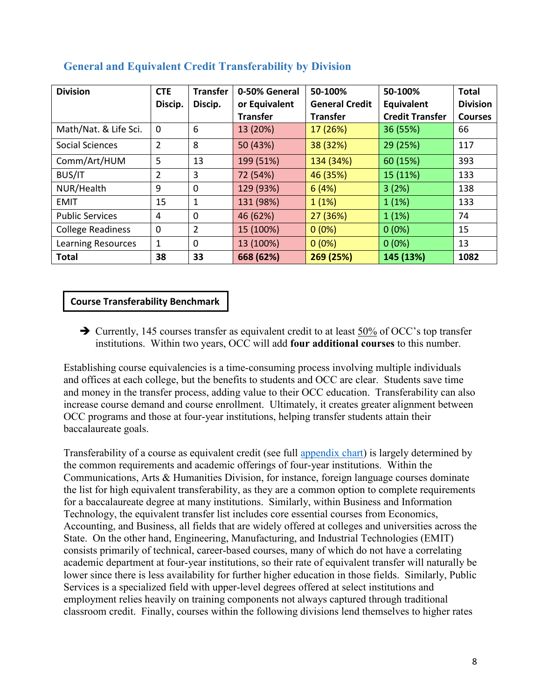| <b>Division</b>           | <b>CTE</b><br>Discip. | <b>Transfer</b><br>Discip. | 0-50% General<br>or Equivalent | 50-100%<br><b>General Credit</b> | 50-100%<br>Equivalent  | <b>Total</b><br><b>Division</b> |
|---------------------------|-----------------------|----------------------------|--------------------------------|----------------------------------|------------------------|---------------------------------|
|                           |                       |                            | <b>Transfer</b>                | <b>Transfer</b>                  | <b>Credit Transfer</b> | <b>Courses</b>                  |
| Math/Nat. & Life Sci.     | 0                     | 6                          | 13 (20%)                       | 17 (26%)                         | 36 (55%)               | 66                              |
| <b>Social Sciences</b>    | $\overline{2}$        | 8                          | 50 (43%)                       | 38 (32%)                         | 29 (25%)               | 117                             |
| Comm/Art/HUM              | 5                     | 13                         | 199 (51%)                      | 134 (34%)                        | 60 (15%)               | 393                             |
| <b>BUS/IT</b>             | $\overline{2}$        | 3                          | 72 (54%)                       | 46 (35%)                         | 15 (11%)               | 133                             |
| NUR/Health                | 9                     | 0                          | 129 (93%)                      | 6(4%)                            | 3(2%)                  | 138                             |
| <b>EMIT</b>               | 15                    | 1                          | 131 (98%)                      | 1(1%)                            | 1(1%)                  | 133                             |
| <b>Public Services</b>    | 4                     | 0                          | 46 (62%)                       | 27 (36%)                         | 1(1%)                  | 74                              |
| <b>College Readiness</b>  | $\mathbf{0}$          | $\overline{2}$             | 15 (100%)                      | $0(0\%)$                         | $0(0\%)$               | 15                              |
| <b>Learning Resources</b> | 1                     | 0                          | 13 (100%)                      | $0(0\%)$                         | $0(0\%)$               | 13                              |
| <b>Total</b>              | 38                    | 33                         | 668 (62%)                      | 269 (25%)                        | 145 (13%)              | 1082                            |

## <span id="page-7-0"></span> **General and Equivalent Credit Transferability by Division**

## **Course Transferability Benchmark**

 institutions. Within two years, OCC will add **four additional courses** to this number. Currently, 145 courses transfer as equivalent credit to at least 50% of OCC's top transfer

 and money in the transfer process, adding value to their OCC education. Transferability can also increase course demand and course enrollment. Ultimately, it creates greater alignment between OCC programs and those at four-year institutions, helping transfer students attain their baccalaureate goals. Establishing course equivalencies is a time-consuming process involving multiple individuals and offices at each college, but the benefits to students and OCC are clear. Students save time

 the list for high equivalent transferability, as they are a common option to complete requirements consists primarily of technical, career-based courses, many of which do not have a correlating classroom credit. Finally, courses within the following divisions lend themselves to higher rates Transferability of a course as equivalent credit (see full [appendix chart\)](#page-26-1) is largely determined by the common requirements and academic offerings of four-year institutions. Within the Communications, Arts & Humanities Division, for instance, foreign language courses dominate for a baccalaureate degree at many institutions. Similarly, within Business and Information Technology, the equivalent transfer list includes core essential courses from Economics, Accounting, and Business, all fields that are widely offered at colleges and universities across the State. On the other hand, Engineering, Manufacturing, and Industrial Technologies (EMIT) academic department at four-year institutions, so their rate of equivalent transfer will naturally be lower since there is less availability for further higher education in those fields. Similarly, Public Services is a specialized field with upper-level degrees offered at select institutions and employment relies heavily on training components not always captured through traditional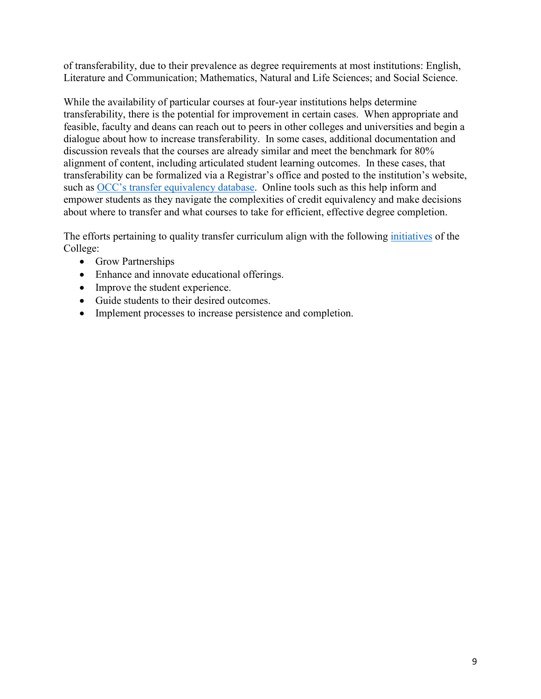of transferability, due to their prevalence as degree requirements at most institutions: English, Literature and Communication; Mathematics, Natural and Life Sciences; and Social Science.

 alignment of content, including articulated student learning outcomes. In these cases, that transferability can be formalized via a Registrar's office and posted to the institution's website, such as [OCC's transfer equivalency database.](https://www.oaklandcc.edu/transfer/) Online tools such as this help inform and While the availability of particular courses at four-year institutions helps determine transferability, there is the potential for improvement in certain cases. When appropriate and feasible, faculty and deans can reach out to peers in other colleges and universities and begin a dialogue about how to increase transferability. In some cases, additional documentation and discussion reveals that the courses are already similar and meet the benchmark for 80% empower students as they navigate the complexities of credit equivalency and make decisions about where to transfer and what courses to take for efficient, effective degree completion.

The efforts pertaining to quality transfer curriculum align with the following *initiatives* of the College:

- Grow Partnerships
- Enhance and innovate educational offerings.
- Improve the student experience.
- Guide students to their desired outcomes.
- Implement processes to increase persistence and completion.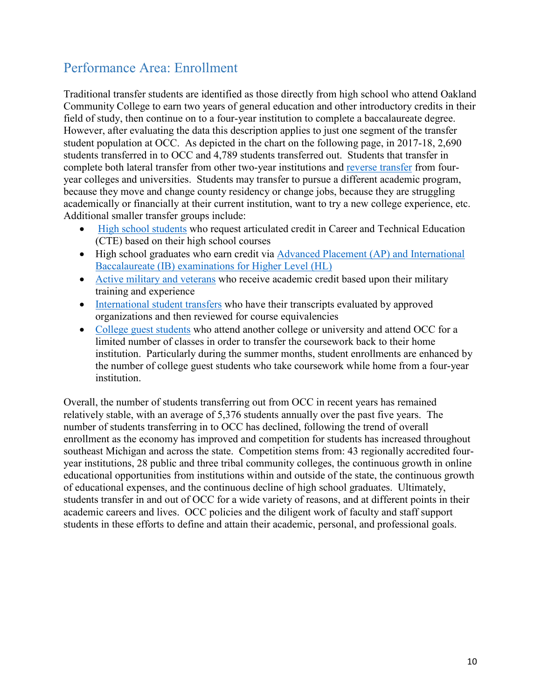# <span id="page-9-0"></span>Performance Area: Enrollment

 Traditional transfer students are identified as those directly from high school who attend Oakland field of study, then continue on to a four-year institution to complete a baccalaureate degree. field of study, then continue on to a four-year institution to complete a baccalaureate degree. However, after evaluating the data this description applies to just one segment of the transfer students transferred in to OCC and 4,789 students transferred out. Students that transfer in academically or financially at their current institution, want to try a new college experience, etc. Community College to earn two years of general education and other introductory credits in their student population at OCC. As depicted in the chart on the following page, in 2017-18, 2,690 complete both lateral transfer from other two-year institutions and [reverse transfer](https://www.oaklandcc.edu/articulation/postsecondary/data/ViewReverseTransfer.aspx) from fouryear colleges and universities. Students may transfer to pursue a different academic program, because they move and change county residency or change jobs, because they are struggling Additional smaller transfer groups include:

- [High school students](https://www.oaklandcc.edu/articulation/secondary/default.aspx) who request articulated credit in Career and Technical Education (CTE) based on their high school courses
- High school graduates who earn credit via **Advanced Placement** (AP) and International [Baccalaureate \(IB\) examinations for Higher Level \(HL\)](https://www.oaklandcc.edu/admissions/transfers/apib.aspx)
- [Active military and veterans](https://www.oaklandcc.edu/admissions/transfers/default.aspx#military) who receive academic credit based upon their military training and experience
- [International student transfers](https://www.oaklandcc.edu/international/foreign-transcript-evaluation.aspx) who have their transcripts evaluated by approved organizations and then reviewed for course equivalencies
- limited number of classes in order to transfer the coursework back to their home institution. Particularly during the summer months, student enrollments are enhanced by the number of college guest students who take coursework while home from a four-year institution. • [College guest students](https://www.oaklandcc.edu/futurestudents/collegeguest.aspx) who attend another college or university and attend OCC for a

 number of students transferring in to OCC has declined, following the trend of overall academic careers and lives. OCC policies and the diligent work of faculty and staff support students in these efforts to define and attain their academic, personal, and professional goals. Overall, the number of students transferring out from OCC in recent years has remained relatively stable, with an average of 5,376 students annually over the past five years. The enrollment as the economy has improved and competition for students has increased throughout southeast Michigan and across the state. Competition stems from: 43 regionally accredited fouryear institutions, 28 public and three tribal community colleges, the continuous growth in online educational opportunities from institutions within and outside of the state, the continuous growth of educational expenses, and the continuous decline of high school graduates. Ultimately, students transfer in and out of OCC for a wide variety of reasons, and at different points in their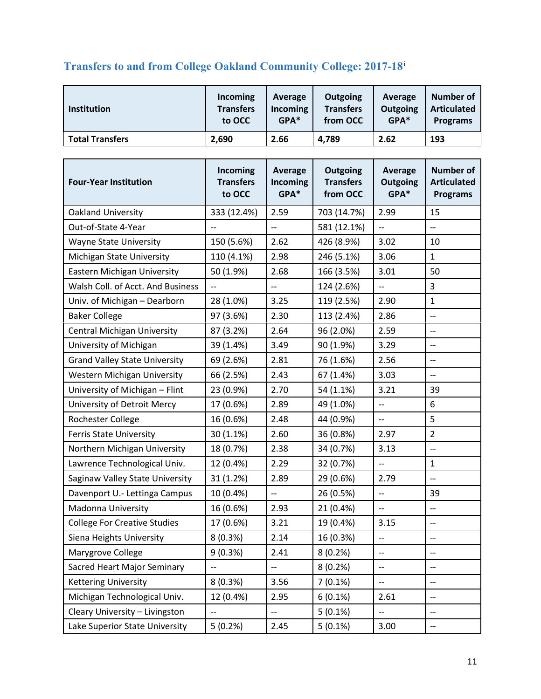# <span id="page-10-0"></span>**Transfers to and from College Oakland Community College: 2017-18**<sup>i</sup>

| <b>Institution</b>     | Incoming         | Average  | Outgoing         | Average  | Number of          |
|------------------------|------------------|----------|------------------|----------|--------------------|
|                        | <b>Transfers</b> | Incoming | <b>Transfers</b> | Outgoing | <b>Articulated</b> |
|                        | to OCC           | $GPA*$   | from OCC         | GPA*     | <b>Programs</b>    |
| <b>Total Transfers</b> | 2,690            | 2.66     | 4,789            | 2.62     | 193                |

| <b>Four-Year Institution</b>         | Incoming<br><b>Transfers</b><br>to OCC | <b>Average</b><br><b>Incoming</b><br>GPA* | Outgoing<br><b>Transfers</b><br>from OCC | Average<br><b>Outgoing</b><br>GPA* | <b>Number of</b><br><b>Articulated</b><br><b>Programs</b> |
|--------------------------------------|----------------------------------------|-------------------------------------------|------------------------------------------|------------------------------------|-----------------------------------------------------------|
| Oakland University                   | 333 (12.4%)                            | 2.59                                      | 703 (14.7%)                              | 2.99                               | 15                                                        |
| Out-of-State 4-Year                  | --                                     | --                                        | 581 (12.1%)                              | --                                 | $\overline{\phantom{a}}$                                  |
| <b>Wayne State University</b>        | 150 (5.6%)                             | 2.62                                      | 426 (8.9%)                               | 3.02                               | 10                                                        |
| Michigan State University            | 110 (4.1%)                             | 2.98                                      | 246 (5.1%)                               | 3.06                               | $\mathbf{1}$                                              |
| Eastern Michigan University          | 50 (1.9%)                              | 2.68                                      | 166 (3.5%)                               | 3.01                               | 50                                                        |
| Walsh Coll. of Acct. And Business    | --                                     | $\overline{\phantom{a}}$                  | 124 (2.6%)                               | --                                 | 3                                                         |
| Univ. of Michigan - Dearborn         | 28 (1.0%)                              | 3.25                                      | 119 (2.5%)                               | 2.90                               | $\mathbf{1}$                                              |
| <b>Baker College</b>                 | 97 (3.6%)                              | 2.30                                      | 113 (2.4%)                               | 2.86                               | $\overline{\phantom{a}}$                                  |
| <b>Central Michigan University</b>   | 87 (3.2%)                              | 2.64                                      | 96 (2.0%)                                | 2.59                               | $\overline{a}$                                            |
| University of Michigan               | 39 (1.4%)                              | 3.49                                      | 90 (1.9%)                                | 3.29                               | $-$                                                       |
| <b>Grand Valley State University</b> | 69 (2.6%)                              | 2.81                                      | 76 (1.6%)                                | 2.56                               | $\overline{\phantom{a}}$                                  |
| <b>Western Michigan University</b>   | 66 (2.5%)                              | 2.43                                      | 67 (1.4%)                                | 3.03                               | $\overline{\phantom{m}}$                                  |
| University of Michigan - Flint       | 23 (0.9%)                              | 2.70                                      | 54 (1.1%)                                | 3.21                               | 39                                                        |
| University of Detroit Mercy          | 17 (0.6%)                              | 2.89                                      | 49 (1.0%)                                | $\overline{\phantom{a}}$           | 6                                                         |
| Rochester College                    | 16 (0.6%)                              | 2.48                                      | 44 (0.9%)                                | --                                 | 5                                                         |
| <b>Ferris State University</b>       | 30 (1.1%)                              | 2.60                                      | 36 (0.8%)                                | 2.97                               | $\overline{2}$                                            |
| Northern Michigan University         | 18 (0.7%)                              | 2.38                                      | 34 (0.7%)                                | 3.13                               | $\overline{\phantom{a}}$                                  |
| Lawrence Technological Univ.         | 12 (0.4%)                              | 2.29                                      | 32 (0.7%)                                | $\overline{\phantom{a}}$           | $\mathbf{1}$                                              |
| Saginaw Valley State University      | 31 (1.2%)                              | 2.89                                      | 29 (0.6%)                                | 2.79                               | $\overline{a}$                                            |
| Davenport U.- Lettinga Campus        | 10 (0.4%)                              | $\overline{\phantom{a}}$                  | 26 (0.5%)                                | $-$                                | 39                                                        |
| Madonna University                   | 16 (0.6%)                              | 2.93                                      | 21 (0.4%)                                | --                                 | $\overline{\phantom{a}}$                                  |
| <b>College For Creative Studies</b>  | 17 (0.6%)                              | 3.21                                      | 19 (0.4%)                                | 3.15                               | $\overline{\phantom{a}}$                                  |
| Siena Heights University             | 8(0.3%)                                | 2.14                                      | 16 (0.3%)                                | $\overline{\phantom{a}}$           | $\overline{\phantom{a}}$                                  |
| Marygrove College                    | 9 (0.3%)                               | 2.41                                      | 8(0.2%)                                  | $-$                                | $ \!-$                                                    |
| Sacred Heart Major Seminary          |                                        | --                                        | 8(0.2%)                                  | --                                 | $-$                                                       |
| <b>Kettering University</b>          | 8(0.3%)                                | 3.56                                      | $7(0.1\%)$                               | --                                 | $-\!$ –                                                   |
| Michigan Technological Univ.         | 12 (0.4%)                              | 2.95                                      | 6(0.1%)                                  | 2.61                               | $\overline{\phantom{a}}$                                  |
| Cleary University - Livingston       | $-$                                    | --                                        | $5(0.1\%)$                               | --                                 | $\overline{\phantom{a}}$                                  |
| Lake Superior State University       | 5(0.2%)                                | 2.45                                      | $5(0.1\%)$                               | 3.00                               | $\overline{\phantom{a}}$                                  |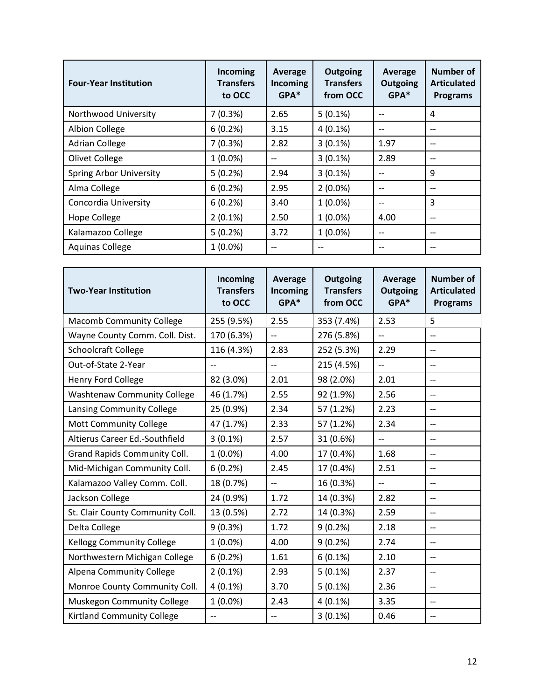| <b>Four-Year Institution</b>   | Incoming<br><b>Transfers</b><br>to OCC | Average<br>Incoming<br>$GPA*$ | Outgoing<br><b>Transfers</b><br>from OCC | Average<br>Outgoing<br>GPA* | Number of<br><b>Articulated</b><br><b>Programs</b> |
|--------------------------------|----------------------------------------|-------------------------------|------------------------------------------|-----------------------------|----------------------------------------------------|
| Northwood University           | 7(0.3%)                                | 2.65                          | $5(0.1\%)$                               |                             | 4                                                  |
| <b>Albion College</b>          | 6(0.2%)                                | 3.15                          | $4(0.1\%)$                               |                             | $- -$                                              |
| <b>Adrian College</b>          | 7(0.3%)                                | 2.82                          | $3(0.1\%)$                               | 1.97                        | $- -$                                              |
| Olivet College                 | $1(0.0\%)$                             | $-$                           | $3(0.1\%)$                               | 2.89                        | $-$                                                |
| <b>Spring Arbor University</b> | 5(0.2%)                                | 2.94                          | $3(0.1\%)$                               |                             | 9                                                  |
| Alma College                   | 6(0.2%)                                | 2.95                          | $2(0.0\%)$                               |                             | --                                                 |
| Concordia University           | 6(0.2%)                                | 3.40                          | $1(0.0\%)$                               | --                          | 3                                                  |
| <b>Hope College</b>            | $2(0.1\%)$                             | 2.50                          | $1(0.0\%)$                               | 4.00                        | $- -$                                              |
| Kalamazoo College              | 5(0.2%)                                | 3.72                          | $1(0.0\%)$                               | --                          | $- -$                                              |
| <b>Aquinas College</b>         | $1(0.0\%)$                             | $- -$                         |                                          |                             | $- -$                                              |

| <b>Two-Year Institution</b>        | Incoming<br><b>Transfers</b><br>to OCC | <b>Average</b><br>Incoming<br>GPA* | Outgoing<br><b>Transfers</b><br>from OCC | Average<br>Outgoing<br>GPA* | <b>Number of</b><br><b>Articulated</b><br><b>Programs</b> |
|------------------------------------|----------------------------------------|------------------------------------|------------------------------------------|-----------------------------|-----------------------------------------------------------|
| <b>Macomb Community College</b>    | 255 (9.5%)                             | 2.55                               | 353 (7.4%)                               | 2.53                        | 5                                                         |
| Wayne County Comm. Coll. Dist.     | 170 (6.3%)                             | $\overline{\phantom{a}}$           | 276 (5.8%)                               | $\overline{\phantom{a}}$    | $\overline{\phantom{m}}$                                  |
| <b>Schoolcraft College</b>         | 116 (4.3%)                             | 2.83                               | 252 (5.3%)                               | 2.29                        | $\overline{\phantom{a}}$                                  |
| Out-of-State 2-Year                | $\overline{\phantom{a}}$               | $\overline{\phantom{a}}$           | 215 (4.5%)                               | $\overline{\phantom{a}}$    | $\overline{\phantom{a}}$                                  |
| Henry Ford College                 | 82 (3.0%)                              | 2.01                               | 98 (2.0%)                                | 2.01                        | $\overline{\phantom{a}}$                                  |
| <b>Washtenaw Community College</b> | 46 (1.7%)                              | 2.55                               | 92 (1.9%)                                | 2.56                        | $\overline{\phantom{a}}$                                  |
| Lansing Community College          | 25 (0.9%)                              | 2.34                               | 57 (1.2%)                                | 2.23                        | $\overline{\phantom{a}}$                                  |
| <b>Mott Community College</b>      | 47 (1.7%)                              | 2.33                               | 57 (1.2%)                                | 2.34                        | $\overline{\phantom{a}}$                                  |
| Altierus Career Ed.-Southfield     | $3(0.1\%)$                             | 2.57                               | 31 (0.6%)                                | $\overline{a}$              | $\overline{\phantom{m}}$                                  |
| Grand Rapids Community Coll.       | $1(0.0\%)$                             | 4.00                               | 17 (0.4%)                                | 1.68                        | $\overline{\phantom{a}}$                                  |
| Mid-Michigan Community Coll.       | 6(0.2%)                                | 2.45                               | 17 (0.4%)                                | 2.51                        | $\overline{\phantom{m}}$                                  |
| Kalamazoo Valley Comm. Coll.       | 18 (0.7%)                              | $\overline{\phantom{a}}$           | 16 (0.3%)                                | $-$                         | $\overline{\phantom{m}}$                                  |
| Jackson College                    | 24 (0.9%)                              | 1.72                               | 14 (0.3%)                                | 2.82                        | --                                                        |
| St. Clair County Community Coll.   | 13 (0.5%)                              | 2.72                               | 14 (0.3%)                                | 2.59                        | $\overline{\phantom{a}}$                                  |
| Delta College                      | 9(0.3%)                                | 1.72                               | 9(0.2%)                                  | 2.18                        | $\overline{\phantom{a}}$                                  |
| Kellogg Community College          | $1(0.0\%)$                             | 4.00                               | 9(0.2%)                                  | 2.74                        | $\overline{\phantom{a}}$                                  |
| Northwestern Michigan College      | 6(0.2%)                                | 1.61                               | $6(0.1\%)$                               | 2.10                        | $\overline{\phantom{a}}$                                  |
| <b>Alpena Community College</b>    | $2(0.1\%)$                             | 2.93                               | $5(0.1\%)$                               | 2.37                        | $\overline{\phantom{a}}$                                  |
| Monroe County Community Coll.      | $4(0.1\%)$                             | 3.70                               | $5(0.1\%)$                               | 2.36                        | $\overline{\phantom{a}}$                                  |
| Muskegon Community College         | $1(0.0\%)$                             | 2.43                               | $4(0.1\%)$                               | 3.35                        | $\overline{\phantom{a}}$                                  |
| <b>Kirtland Community College</b>  |                                        |                                    | $3(0.1\%)$                               | 0.46                        | $-$                                                       |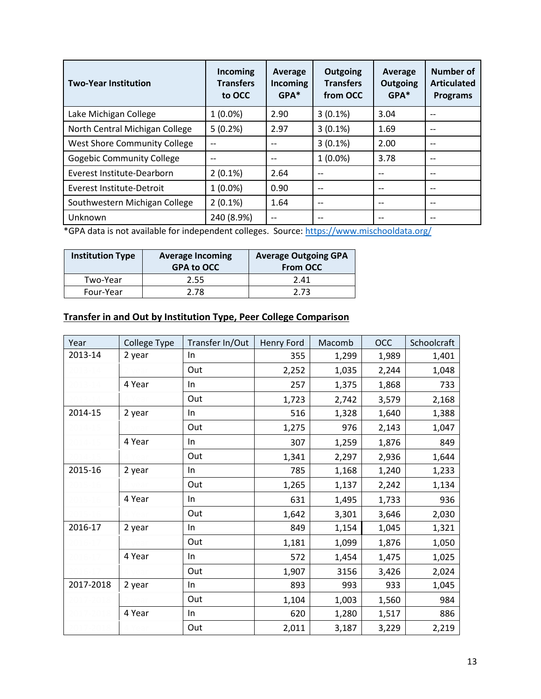| <b>Two-Year Institution</b>      | Incoming<br><b>Transfers</b><br>to OCC | Average<br><b>Incoming</b><br>$GPA*$ | Outgoing<br><b>Transfers</b><br>from OCC | Average<br>Outgoing<br>GPA* | Number of<br><b>Articulated</b><br><b>Programs</b> |
|----------------------------------|----------------------------------------|--------------------------------------|------------------------------------------|-----------------------------|----------------------------------------------------|
| Lake Michigan College            | $1(0.0\%)$                             | 2.90                                 | $3(0.1\%)$                               | 3.04                        | --                                                 |
| North Central Michigan College   | 5(0.2%)                                | 2.97                                 | $3(0.1\%)$                               | 1.69                        |                                                    |
| West Shore Community College     |                                        |                                      | $3(0.1\%)$                               | 2.00                        | --                                                 |
| <b>Gogebic Community College</b> |                                        | $- -$                                | $1(0.0\%)$                               | 3.78                        | $- -$                                              |
| Everest Institute-Dearborn       | $2(0.1\%)$                             | 2.64                                 |                                          |                             | --                                                 |
| Everest Institute-Detroit        | $1(0.0\%)$                             | 0.90                                 |                                          |                             | --                                                 |
| Southwestern Michigan College    | $2(0.1\%)$                             | 1.64                                 | --                                       | $-$                         | $- -$                                              |
| Unknown                          | 240 (8.9%)                             |                                      |                                          |                             |                                                    |

\*GPA data is not available for independent colleges. Source: https://www.mischooldata.org/

| <b>Institution Type</b> | <b>Average Incoming</b><br><b>GPA to OCC</b> | <b>Average Outgoing GPA</b><br><b>From OCC</b> |
|-------------------------|----------------------------------------------|------------------------------------------------|
| Two-Year                | 2.55                                         | 2.41                                           |
| Four-Year               | 2.78                                         | 2.73                                           |

#### **Transfer in and Out by Institution Type, Peer College Comparison**

| Year      | College Type | Transfer In/Out | Henry Ford | Macomb | <b>OCC</b> | Schoolcraft |
|-----------|--------------|-----------------|------------|--------|------------|-------------|
| 2013-14   | 2 year       | In              | 355        | 1,299  | 1,989      | 1,401       |
|           |              | Out             | 2,252      | 1,035  | 2,244      | 1,048       |
|           | 4 Year       | In              | 257        | 1,375  | 1,868      | 733         |
|           |              | Out             | 1,723      | 2,742  | 3,579      | 2,168       |
| 2014-15   | 2 year       | In              | 516        | 1,328  | 1,640      | 1,388       |
|           |              | Out             | 1,275      | 976    | 2,143      | 1,047       |
|           | 4 Year       | In              | 307        | 1,259  | 1,876      | 849         |
|           |              | Out             | 1,341      | 2,297  | 2,936      | 1,644       |
| 2015-16   | 2 year       | In              | 785        | 1,168  | 1,240      | 1,233       |
|           |              | Out             | 1,265      | 1,137  | 2,242      | 1,134       |
|           | 4 Year       | In              | 631        | 1,495  | 1,733      | 936         |
|           |              | Out             | 1,642      | 3,301  | 3,646      | 2,030       |
| 2016-17   | 2 year       | In.             | 849        | 1,154  | 1,045      | 1,321       |
|           |              | Out             | 1,181      | 1,099  | 1,876      | 1,050       |
|           | 4 Year       | In              | 572        | 1,454  | 1,475      | 1,025       |
|           |              | Out             | 1,907      | 3156   | 3,426      | 2,024       |
| 2017-2018 | 2 year       | In.             | 893        | 993    | 933        | 1,045       |
|           |              | Out             | 1,104      | 1,003  | 1,560      | 984         |
|           | 4 Year       | $\ln$           | 620        | 1,280  | 1,517      | 886         |
|           |              | Out             | 2,011      | 3,187  | 3,229      | 2,219       |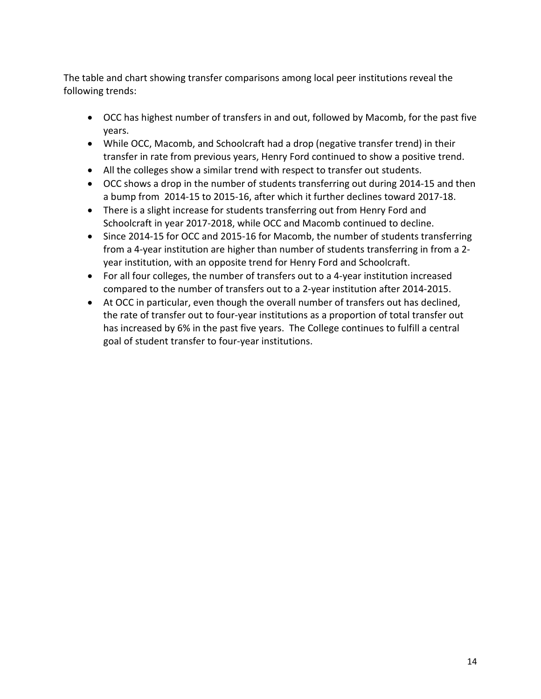The table and chart showing transfer comparisons among local peer institutions reveal the following trends:

- • OCC has highest number of transfers in and out, followed by Macomb, for the past five years.
- • While OCC, Macomb, and Schoolcraft had a drop (negative transfer trend) in their transfer in rate from previous years, Henry Ford continued to show a positive trend.
- All the colleges show a similar trend with respect to transfer out students.
- • OCC shows a drop in the number of students transferring out during 2014-15 and then a bump from 2014-15 to 2015-16, after which it further declines toward 2017-18.
- There is a slight increase for students transferring out from Henry Ford and Schoolcraft in year 2017-2018, while OCC and Macomb continued to decline.
- Since 2014-15 for OCC and 2015-16 for Macomb, the number of students transferring from a 4-year institution are higher than number of students transferring in from a 2 year institution, with an opposite trend for Henry Ford and Schoolcraft.
- For all four colleges, the number of transfers out to a 4-year institution increased compared to the number of transfers out to a 2-year institution after 2014-2015.
- the rate of transfer out to four-year institutions as a proportion of total transfer out • At OCC in particular, even though the overall number of transfers out has declined, has increased by 6% in the past five years. The College continues to fulfill a central goal of student transfer to four-year institutions.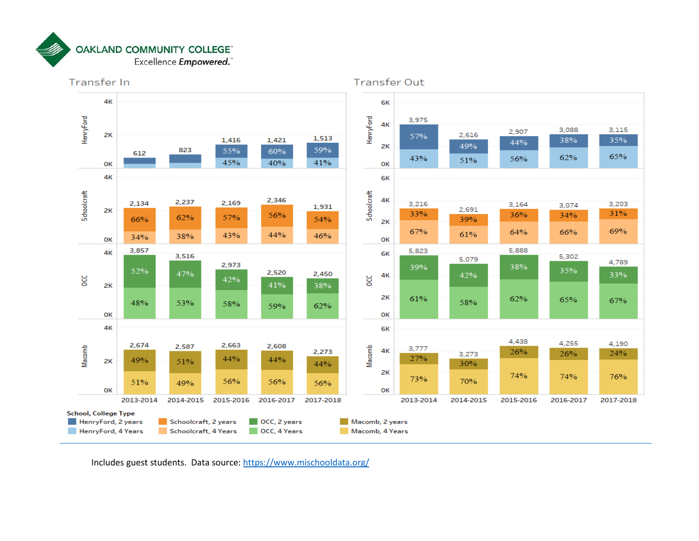



<span id="page-14-0"></span>Includes guest students. Data source: https://www.mischooldata.org/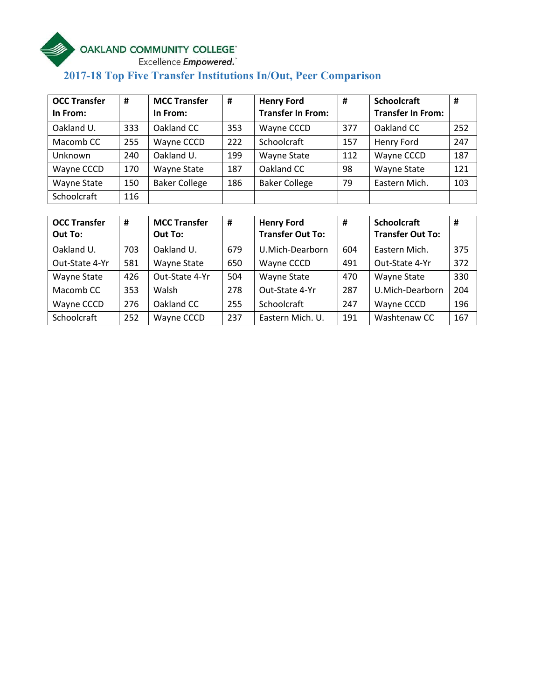# **Example COMMUNITY COLLEGE**<br>Excellence Empowered.

# **2017-18 Top Five Transfer Institutions In/Out, Peer Comparison**

| <b>OCC Transfer</b> | #   | <b>MCC Transfer</b>  | #   | <b>Henry Ford</b>        | #   | <b>Schoolcraft</b>       | #   |
|---------------------|-----|----------------------|-----|--------------------------|-----|--------------------------|-----|
| In From:            |     | In From:             |     | <b>Transfer In From:</b> |     | <b>Transfer In From:</b> |     |
| Oakland U.          | 333 | Oakland CC           | 353 | Wayne CCCD               | 377 | Oakland CC               | 252 |
| Macomb CC           | 255 | Wayne CCCD           | 222 | Schoolcraft              | 157 | Henry Ford               | 247 |
| Unknown             | 240 | Oakland U.           | 199 | <b>Wayne State</b>       | 112 | Wayne CCCD               | 187 |
| Wayne CCCD          | 170 | <b>Wayne State</b>   | 187 | Oakland CC               | 98  | Wayne State              | 121 |
| <b>Wayne State</b>  | 150 | <b>Baker College</b> | 186 | <b>Baker College</b>     | 79  | Eastern Mich.            | 103 |
| Schoolcraft         | 116 |                      |     |                          |     |                          |     |

| <b>OCC Transfer</b><br>Out To: | #   | <b>MCC Transfer</b><br>Out To: | #   | <b>Henry Ford</b><br><b>Transfer Out To:</b> | #   | <b>Schoolcraft</b><br><b>Transfer Out To:</b> | #   |
|--------------------------------|-----|--------------------------------|-----|----------------------------------------------|-----|-----------------------------------------------|-----|
| Oakland U.                     | 703 | Oakland U.                     | 679 | U.Mich-Dearborn                              | 604 | Eastern Mich.                                 | 375 |
| Out-State 4-Yr                 | 581 | <b>Wayne State</b>             | 650 | Wayne CCCD                                   | 491 | Out-State 4-Yr                                | 372 |
| <b>Wayne State</b>             | 426 | Out-State 4-Yr                 | 504 | <b>Wayne State</b>                           | 470 | Wayne State                                   | 330 |
| Macomb CC                      | 353 | Walsh                          | 278 | Out-State 4-Yr                               | 287 | U.Mich-Dearborn                               | 204 |
| Wayne CCCD                     | 276 | Oakland CC                     | 255 | Schoolcraft                                  | 247 | Wayne CCCD                                    | 196 |
| Schoolcraft                    | 252 | Wayne CCCD                     | 237 | Eastern Mich. U.                             | 191 | Washtenaw CC                                  | 167 |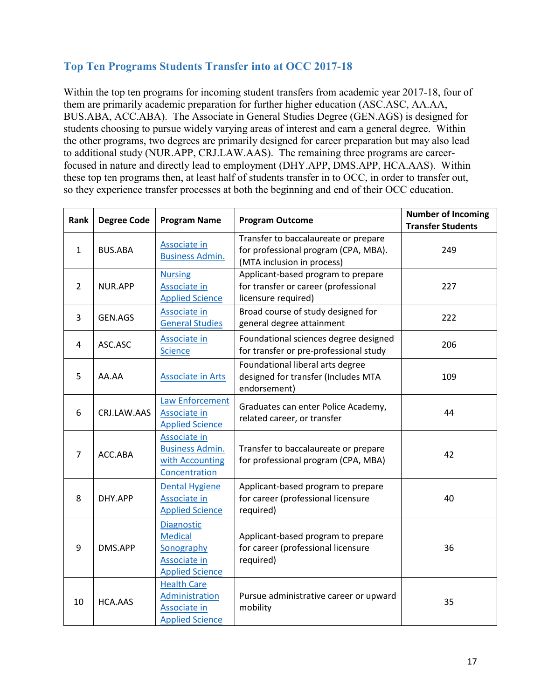## <span id="page-16-0"></span>**Top Ten Programs Students Transfer into at OCC 2017-18**

 Within the top ten programs for incoming student transfers from academic year 2017-18, four of BUS.ABA, ACC.ABA). The Associate in General Studies Degree (GEN.AGS) is designed for them are primarily academic preparation for further higher education (ASC.ASC, AA.AA, students choosing to pursue widely varying areas of interest and earn a general degree. Within the other programs, two degrees are primarily designed for career preparation but may also lead to additional study (NUR.APP, CRJ.LAW.AAS). The remaining three programs are careerfocused in nature and directly lead to employment (DHY.APP, DMS.APP, HCA.AAS). Within these top ten programs then, at least half of students transfer in to OCC, in order to transfer out, so they experience transfer processes at both the beginning and end of their OCC education.

| Rank           | <b>Degree Code</b> | <b>Program Name</b>                                                                                | <b>Program Outcome</b>                                                                                     | <b>Number of Incoming</b><br><b>Transfer Students</b> |
|----------------|--------------------|----------------------------------------------------------------------------------------------------|------------------------------------------------------------------------------------------------------------|-------------------------------------------------------|
| $\mathbf{1}$   | <b>BUS.ABA</b>     | Associate in<br><b>Business Admin.</b>                                                             | Transfer to baccalaureate or prepare<br>for professional program (CPA, MBA).<br>(MTA inclusion in process) | 249                                                   |
| $\overline{2}$ | NUR.APP            | <b>Nursing</b><br>Associate in<br><b>Applied Science</b>                                           | Applicant-based program to prepare<br>for transfer or career (professional<br>licensure required)          | 227                                                   |
| 3              | GEN.AGS            | Associate in<br><b>General Studies</b>                                                             | Broad course of study designed for<br>general degree attainment                                            | 222                                                   |
| 4              | ASC.ASC            | <b>Associate in</b><br><b>Science</b>                                                              | Foundational sciences degree designed<br>for transfer or pre-professional study                            | 206                                                   |
| 5              | AA.AA              | <b>Associate in Arts</b>                                                                           | Foundational liberal arts degree<br>designed for transfer (Includes MTA<br>endorsement)                    | 109                                                   |
| 6              | CRJ.LAW.AAS        | <b>Law Enforcement</b><br>Associate in<br><b>Applied Science</b>                                   | Graduates can enter Police Academy,<br>related career, or transfer                                         | 44                                                    |
| $\overline{7}$ | ACC.ABA            | Associate in<br><b>Business Admin.</b><br>with Accounting<br>Concentration                         | Transfer to baccalaureate or prepare<br>for professional program (CPA, MBA)                                | 42                                                    |
| 8              | DHY.APP            | <b>Dental Hygiene</b><br>Associate in<br><b>Applied Science</b>                                    | Applicant-based program to prepare<br>for career (professional licensure<br>required)                      | 40                                                    |
| 9              | DMS.APP            | <b>Diagnostic</b><br><b>Medical</b><br>Sonography<br><b>Associate in</b><br><b>Applied Science</b> | Applicant-based program to prepare<br>for career (professional licensure<br>required)                      | 36                                                    |
| 10             | <b>HCA.AAS</b>     | <b>Health Care</b><br>Administration<br>Associate in<br><b>Applied Science</b>                     | Pursue administrative career or upward<br>mobility                                                         | 35                                                    |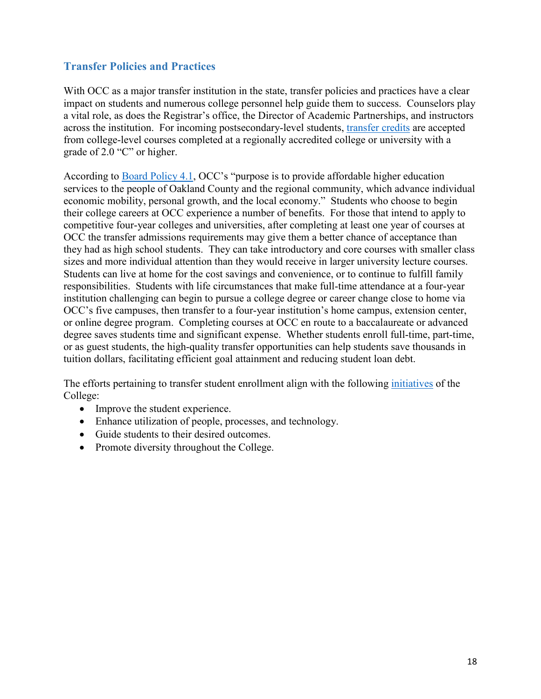## <span id="page-17-0"></span>**Transfer Policies and Practices**

With OCC as a major transfer institution in the state, transfer policies and practices have a clear impact on students and numerous college personnel help guide them to success. Counselors play a vital role, as does the Registrar's office, the Director of Academic Partnerships, and instructors across the institution. For incoming postsecondary-level students, [transfer credits](https://www.oaklandcc.edu/admissions/transfers/default.aspx) are accepted from college-level courses completed at a regionally accredited college or university with a grade of 2.0 "C" or higher.

 services to the people of Oakland County and the regional community, which advance individual sizes and more individual attention than they would receive in larger university lecture courses. sizes and more individual attention than they would receive in larger university lecture courses. Students can live at home for the cost savings and convenience, or to continue to fulfill family responsibilities. Students with life circumstances that make full-time attendance at a four-year institution challenging can begin to pursue a college degree or career change close to home via tuition dollars, facilitating efficient goal attainment and reducing student loan debt. According to [Board Policy 4.1,](https://www.oaklandcc.edu/policies/documents/?file=61) OCC's "purpose is to provide affordable higher education economic mobility, personal growth, and the local economy." Students who choose to begin their college careers at OCC experience a number of benefits. For those that intend to apply to competitive four-year colleges and universities, after completing at least one year of courses at OCC the transfer admissions requirements may give them a better chance of acceptance than they had as high school students. They can take introductory and core courses with smaller class OCC's five campuses, then transfer to a four-year institution's home campus, extension center, or online degree program. Completing courses at OCC en route to a baccalaureate or advanced degree saves students time and significant expense. Whether students enroll full-time, part-time, or as guest students, the high-quality transfer opportunities can help students save thousands in

tuition dollars, facilitating efficient goal attainment and reducing student loan debt.<br>The efforts pertaining to transfer student enrollment align with the following <u>initiatives</u> of the College:

- Improve the student experience.
- Enhance utilization of people, processes, and technology.
- Guide students to their desired outcomes.
- Promote diversity throughout the College.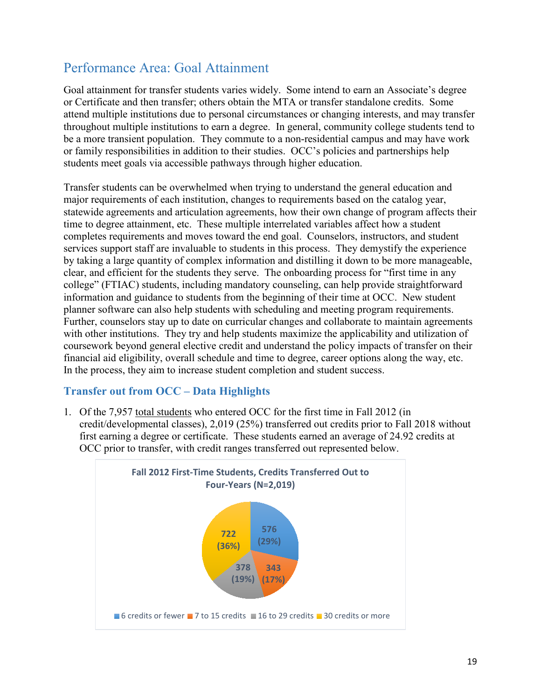# <span id="page-18-0"></span>Performance Area: Goal Attainment

Goal attainment for transfer students varies widely. Some intend to earn an Associate's degree or Certificate and then transfer; others obtain the MTA or transfer standalone credits. Some attend multiple institutions due to personal circumstances or changing interests, and may transfer throughout multiple institutions to earn a degree. In general, community college students tend to be a more transient population. They commute to a non-residential campus and may have work or family responsibilities in addition to their studies. OCC's policies and partnerships help students meet goals via accessible pathways through higher education.

 with other institutions. They try and help students maximize the applicability and utilization of financial aid eligibility, overall schedule and time to degree, career options along the way, etc. In the process, they aim to increase student completion and student success. Transfer students can be overwhelmed when trying to understand the general education and major requirements of each institution, changes to requirements based on the catalog year, statewide agreements and articulation agreements, how their own change of program affects their time to degree attainment, etc. These multiple interrelated variables affect how a student completes requirements and moves toward the end goal. Counselors, instructors, and student services support staff are invaluable to students in this process. They demystify the experience by taking a large quantity of complex information and distilling it down to be more manageable, clear, and efficient for the students they serve. The onboarding process for "first time in any college" (FTIAC) students, including mandatory counseling, can help provide straightforward information and guidance to students from the beginning of their time at OCC. New student planner software can also help students with scheduling and meeting program requirements. Further, counselors stay up to date on curricular changes and collaborate to maintain agreements coursework beyond general elective credit and understand the policy impacts of transfer on their

## <span id="page-18-1"></span>**Transfer out from OCC – Data Highlights**

1. Of the 7,957 total students who entered OCC for the first time in Fall 2012 (in credit/developmental classes), 2,019 (25%) transferred out credits prior to Fall 2018 without first earning a degree or certificate. These students earned an average of 24.92 credits at OCC prior to transfer, with credit ranges transferred out represented below.

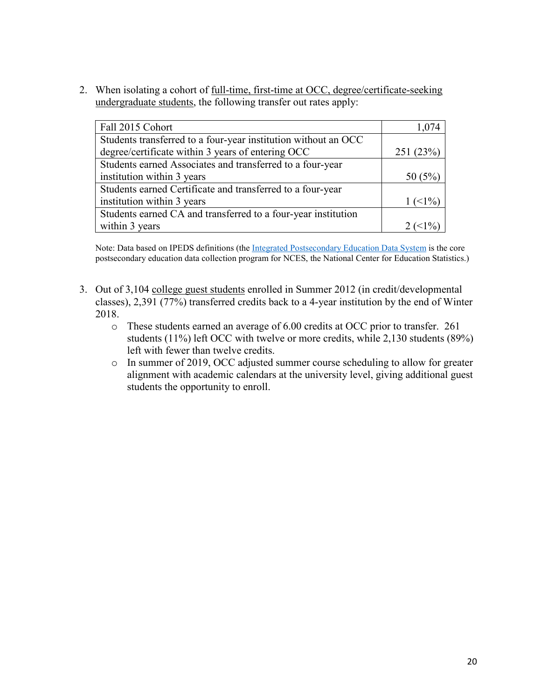2. When isolating a cohort of full-time, first-time at OCC, degree/certificate-seeking

| undergraduate students, the following transfer out rates apply: |                             |  |  |
|-----------------------------------------------------------------|-----------------------------|--|--|
|                                                                 |                             |  |  |
| Fall 2015 Cohort                                                | 1,074                       |  |  |
| Students transferred to a four-year institution without an OCC  |                             |  |  |
| degree/certificate within 3 years of entering OCC               | 251 (23%)                   |  |  |
| Students earned Associates and transferred to a four-year       |                             |  |  |
| institution within 3 years                                      | 50(5%)                      |  |  |
| Students earned Certificate and transferred to a four-year      |                             |  |  |
| institution within 3 years                                      | $1 \left( \leq 1\% \right)$ |  |  |
| Students earned CA and transferred to a four-year institution   |                             |  |  |
| within 3 years                                                  |                             |  |  |

Note: Data based on IPEDS definitions (the [Integrated Postsecondary Education Data System](https://nces.ed.gov/ipeds/) is the core postsecondary education data collection program for NCES, the National Center for Education Statistics.)

- 2018. 3. Out of 3,104 college guest students enrolled in Summer 2012 (in credit/developmental classes), 2,391 (77%) transferred credits back to a 4-year institution by the end of Winter
	- left with fewer than twelve credits. o These students earned an average of 6.00 credits at OCC prior to transfer. 261 students (11%) left OCC with twelve or more credits, while 2,130 students (89%)
	- o In summer of 2019, OCC adjusted summer course scheduling to allow for greater alignment with academic calendars at the university level, giving additional guest students the opportunity to enroll.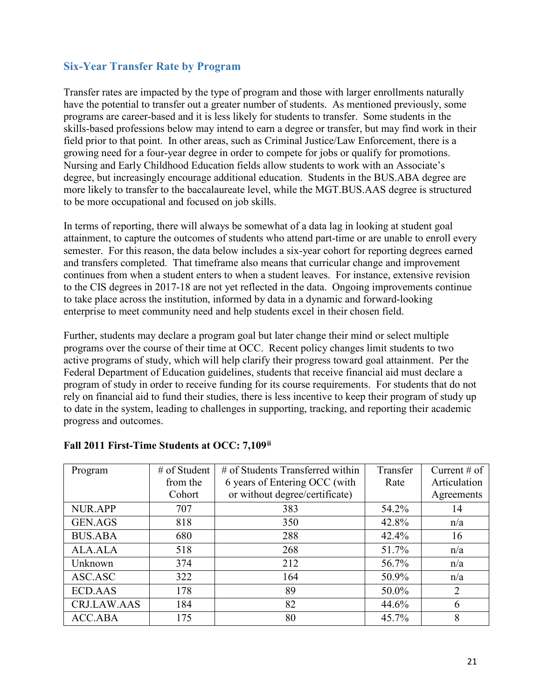## <span id="page-20-0"></span>**Six-Year Transfer Rate by Program**

 programs are career-based and it is less likely for students to transfer. Some students in the skills-based professions below may intend to earn a degree or transfer, but may find work in their degree, but increasingly encourage additional education. Students in the BUS.ABA degree are Transfer rates are impacted by the type of program and those with larger enrollments naturally have the potential to transfer out a greater number of students. As mentioned previously, some field prior to that point. In other areas, such as Criminal Justice/Law Enforcement, there is a growing need for a four-year degree in order to compete for jobs or qualify for promotions. Nursing and Early Childhood Education fields allow students to work with an Associate's more likely to transfer to the baccalaureate level, while the MGT.BUS.AAS degree is structured to be more occupational and focused on job skills.

 In terms of reporting, there will always be somewhat of a data lag in looking at student goal semester. For this reason, the data below includes a six-year cohort for reporting degrees earned to the CIS degrees in 2017-18 are not yet reflected in the data. Ongoing improvements continue attainment, to capture the outcomes of students who attend part-time or are unable to enroll every and transfers completed. That timeframe also means that curricular change and improvement continues from when a student enters to when a student leaves. For instance, extensive revision to take place across the institution, informed by data in a dynamic and forward-looking enterprise to meet community need and help students excel in their chosen field.

 program of study in order to receive funding for its course requirements. For students that do not to date in the system, leading to challenges in supporting, tracking, and reporting their academic Further, students may declare a program goal but later change their mind or select multiple programs over the course of their time at OCC. Recent policy changes limit students to two active programs of study, which will help clarify their progress toward goal attainment. Per the Federal Department of Education guidelines, students that receive financial aid must declare a rely on financial aid to fund their studies, there is less incentive to keep their program of study up progress and outcomes.

| Program        | $#$ of Student | # of Students Transferred within | Transfer | Current $#$ of |
|----------------|----------------|----------------------------------|----------|----------------|
|                | from the       | 6 years of Entering OCC (with    | Rate     | Articulation   |
|                | Cohort         | or without degree/certificate)   |          | Agreements     |
| <b>NUR.APP</b> | 707            | 383                              | 54.2%    | 14             |
| <b>GEN.AGS</b> | 818            | 350                              | 42.8%    | n/a            |
| <b>BUS.ABA</b> | 680            | 288                              | 42.4%    | 16             |
| ALA.ALA        | 518            | 268                              | 51.7%    | n/a            |
| Unknown        | 374            | 212                              | 56.7%    | n/a            |
| ASC.ASC        | 322            | 164                              | 50.9%    | n/a            |
| <b>ECD.AAS</b> | 178            | 89                               | 50.0%    | 2              |
| CRJ.LAW.AAS    | 184            | 82                               | 44.6%    | 6              |
| ACC.ABA        | 175            | 80                               | 45.7%    | 8              |

## **Fall 2011 First-Time Students at OCC: 7,109ii**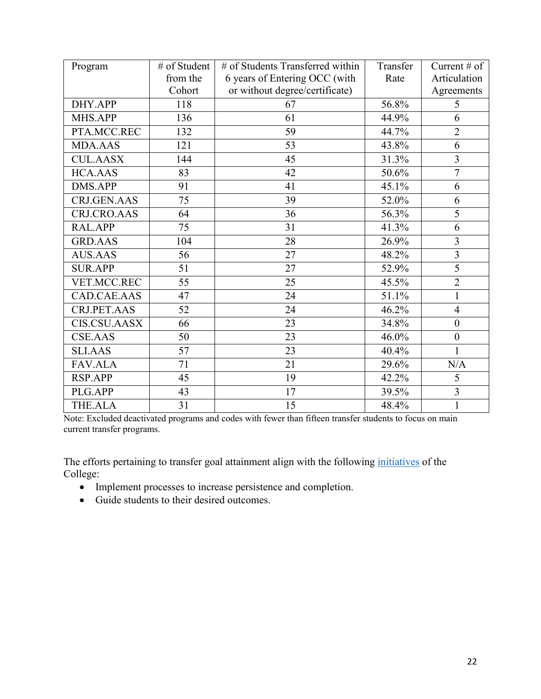| Program             | # of Student | # of Students Transferred within | Transfer | Current $\#$ of |
|---------------------|--------------|----------------------------------|----------|-----------------|
|                     | from the     | 6 years of Entering OCC (with    | Rate     | Articulation    |
|                     | Cohort       | or without degree/certificate)   |          | Agreements      |
| DHY.APP             | 118          | 67                               | 56.8%    | 5               |
| MHS.APP             | 136          | 61                               | 44.9%    | 6               |
| PTA.MCC.REC         | 132          | 59                               | 44.7%    | $\overline{2}$  |
| <b>MDA.AAS</b>      | 121          | 53                               | 43.8%    | 6               |
| <b>CUL.AASX</b>     | 144          | 45                               | 31.3%    | 3               |
| <b>HCA.AAS</b>      | 83           | 42                               | 50.6%    | $\overline{7}$  |
| <b>DMS.APP</b>      | 91           | 41                               | 45.1%    | 6               |
| CRJ.GEN.AAS         | 75           | 39                               | 52.0%    | 6               |
| CRJ.CRO.AAS         | 64           | 36                               | 56.3%    | 5               |
| RAL.APP             | 75           | 31                               | 41.3%    | 6               |
| <b>GRD.AAS</b>      | 104          | 28                               | 26.9%    | 3               |
| <b>AUS.AAS</b>      | 56           | 27                               | 48.2%    | $\overline{3}$  |
| <b>SUR.APP</b>      | 51           | 27                               | 52.9%    | 5               |
| VET.MCC.REC         | 55           | 25                               | 45.5%    | $\overline{2}$  |
| CAD.CAE.AAS         | 47           | 24                               | 51.1%    | $\mathbf{1}$    |
| CRJ.PET.AAS         | 52           | 24                               | 46.2%    | $\overline{4}$  |
| <b>CIS.CSU.AASX</b> | 66           | 23                               | 34.8%    | $\mathbf{0}$    |
| <b>CSE.AAS</b>      | 50           | 23                               | 46.0%    | $\mathbf{0}$    |
| <b>SLI.AAS</b>      | 57           | 23                               | 40.4%    | $\mathbf{1}$    |
| <b>FAV.ALA</b>      | 71           | 21                               | 29.6%    | N/A             |
| <b>RSP.APP</b>      | 45           | 19                               | 42.2%    | 5               |
| PLG.APP             | 43           | 17                               | 39.5%    | 3               |
| <b>THE.ALA</b>      | 31           | 15                               | 48.4%    |                 |

Note: Excluded deactivated programs and codes with fewer than fifteen transfer students to focus on main current transfer programs.

The efforts pertaining to transfer goal attainment align with the following *initiatives* of the College:

- Implement processes to increase persistence and completion.
- Guide students to their desired outcomes.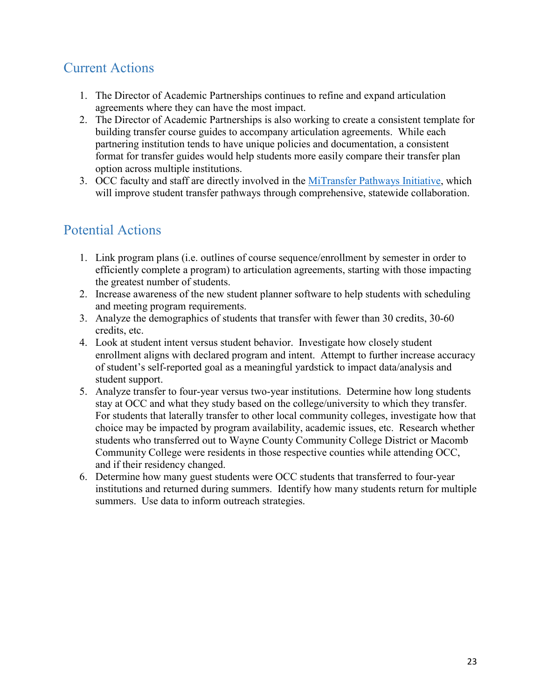# <span id="page-22-0"></span>Current Actions

- agreements where they can have the most impact. 1. The Director of Academic Partnerships continues to refine and expand articulation
- building transfer course guides to accompany articulation agreements. While each option across multiple institutions. 2. The Director of Academic Partnerships is also working to create a consistent template for partnering institution tends to have unique policies and documentation, a consistent format for transfer guides would help students more easily compare their transfer plan
- option across multiple institutions.<br>3. OCC faculty and staff are directly involved in the <u>MiTransfer Pathways Initiative</u>, which will improve student transfer pathways through comprehensive, statewide collaboration.

# <span id="page-22-1"></span>Potential Actions

- 1. Link program plans (i.e. outlines of course sequence/enrollment by semester in order to efficiently complete a program) to articulation agreements, starting with those impacting the greatest number of students.
- and meeting program requirements. 2. Increase awareness of the new student planner software to help students with scheduling
- and meeting program requirements.<br>3. Analyze the demographics of students that transfer with fewer than 30 credits, 30-60 credits, etc.
- student support. 4. Look at student intent versus student behavior. Investigate how closely student enrollment aligns with declared program and intent. Attempt to further increase accuracy of student's self-reported goal as a meaningful yardstick to impact data/analysis and
- student support. 5. Analyze transfer to four-year versus two-year institutions. Determine how long students stay at OCC and what they study based on the college/university to which they transfer. choice may be impacted by program availability, academic issues, etc. Research whether and if their residency changed. For students that laterally transfer to other local community colleges, investigate how that students who transferred out to Wayne County Community College District or Macomb Community College were residents in those respective counties while attending OCC,
- and if their residency changed. 6. Determine how many guest students were OCC students that transferred to four-year institutions and returned during summers. Identify how many students return for multiple summers. Use data to inform outreach strategies.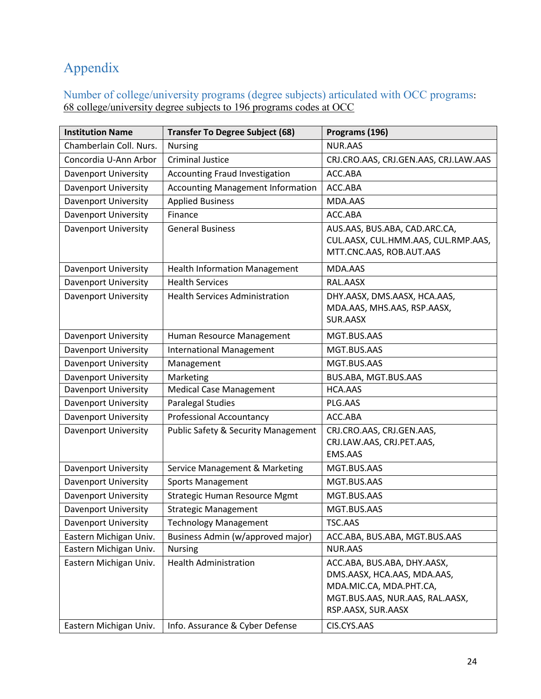# <span id="page-23-0"></span>Appendix

<span id="page-23-1"></span>Number of college/university programs (degree subjects) articulated with OCC programs: 68 college/university degree subjects to 196 programs codes at OCC

| <b>Institution Name</b>     | <b>Transfer To Degree Subject (68)</b>         | Programs (196)                                                       |  |
|-----------------------------|------------------------------------------------|----------------------------------------------------------------------|--|
| Chamberlain Coll. Nurs.     | <b>Nursing</b>                                 | <b>NUR.AAS</b>                                                       |  |
| Concordia U-Ann Arbor       | <b>Criminal Justice</b>                        | CRJ.CRO.AAS, CRJ.GEN.AAS, CRJ.LAW.AAS                                |  |
| <b>Davenport University</b> | <b>Accounting Fraud Investigation</b>          | ACC.ABA                                                              |  |
| <b>Davenport University</b> | <b>Accounting Management Information</b>       | ACC.ABA                                                              |  |
| <b>Davenport University</b> | <b>Applied Business</b>                        | MDA.AAS                                                              |  |
| <b>Davenport University</b> | Finance                                        | ACC.ABA                                                              |  |
| <b>Davenport University</b> | <b>General Business</b>                        | AUS.AAS, BUS.ABA, CAD.ARC.CA,<br>CUL.AASX, CUL.HMM.AAS, CUL.RMP.AAS, |  |
|                             |                                                | MTT.CNC.AAS, ROB.AUT.AAS                                             |  |
| Davenport University        | <b>Health Information Management</b>           | MDA.AAS                                                              |  |
| <b>Davenport University</b> | <b>Health Services</b>                         | RAL.AASX                                                             |  |
| Davenport University        | <b>Health Services Administration</b>          | DHY.AASX, DMS.AASX, HCA.AAS,                                         |  |
|                             |                                                | MDA.AAS, MHS.AAS, RSP.AASX,                                          |  |
|                             |                                                | SUR.AASX                                                             |  |
| <b>Davenport University</b> | Human Resource Management                      | MGT.BUS.AAS                                                          |  |
| <b>Davenport University</b> | <b>International Management</b>                | MGT.BUS.AAS                                                          |  |
| Davenport University        | Management                                     | MGT.BUS.AAS                                                          |  |
| <b>Davenport University</b> | Marketing                                      | BUS.ABA, MGT.BUS.AAS                                                 |  |
| Davenport University        | <b>Medical Case Management</b>                 | HCA.AAS                                                              |  |
| <b>Davenport University</b> | <b>Paralegal Studies</b>                       | PLG.AAS                                                              |  |
| <b>Davenport University</b> | <b>Professional Accountancy</b>                | ACC.ABA                                                              |  |
| <b>Davenport University</b> | <b>Public Safety &amp; Security Management</b> | CRJ.CRO.AAS, CRJ.GEN.AAS,                                            |  |
|                             |                                                | CRJ.LAW.AAS, CRJ.PET.AAS,                                            |  |
|                             |                                                | <b>EMS.AAS</b>                                                       |  |
| <b>Davenport University</b> | Service Management & Marketing                 | MGT.BUS.AAS                                                          |  |
| <b>Davenport University</b> | <b>Sports Management</b>                       | MGT.BUS.AAS                                                          |  |
| <b>Davenport University</b> | <b>Strategic Human Resource Mgmt</b>           | MGT.BUS.AAS                                                          |  |
| <b>Davenport University</b> | <b>Strategic Management</b>                    | MGT.BUS.AAS                                                          |  |
| <b>Davenport University</b> | Technology Management                          | TSC.AAS                                                              |  |
| Eastern Michigan Univ.      | Business Admin (w/approved major)              | ACC.ABA, BUS.ABA, MGT.BUS.AAS                                        |  |
| Eastern Michigan Univ.      | <b>Nursing</b>                                 | <b>NUR.AAS</b>                                                       |  |
| Eastern Michigan Univ.      | <b>Health Administration</b>                   | ACC.ABA, BUS.ABA, DHY.AASX,                                          |  |
|                             |                                                | DMS.AASX, HCA.AAS, MDA.AAS,                                          |  |
|                             |                                                | MDA.MIC.CA, MDA.PHT.CA,                                              |  |
|                             |                                                | MGT.BUS.AAS, NUR.AAS, RAL.AASX,                                      |  |
|                             |                                                | RSP.AASX, SUR.AASX                                                   |  |
| Eastern Michigan Univ.      | Info. Assurance & Cyber Defense                | CIS.CYS.AAS                                                          |  |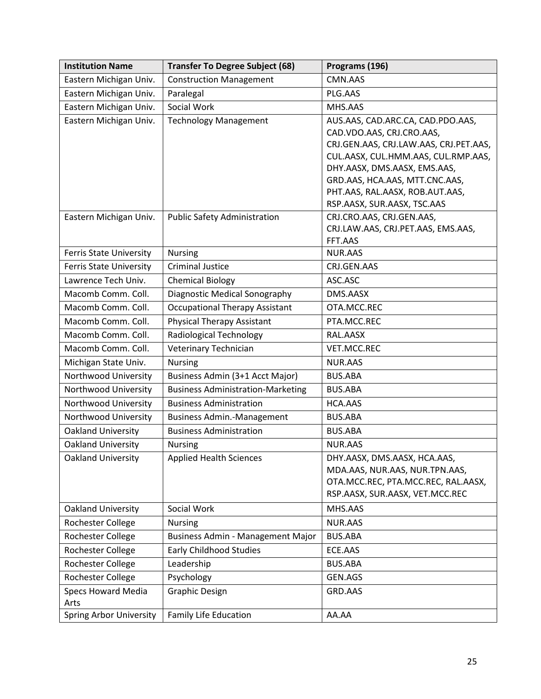| <b>Institution Name</b>           | <b>Transfer To Degree Subject (68)</b>   | Programs (196)                                |
|-----------------------------------|------------------------------------------|-----------------------------------------------|
| Eastern Michigan Univ.            | <b>Construction Management</b>           | CMN.AAS                                       |
| Eastern Michigan Univ.            | Paralegal                                | PLG.AAS                                       |
| Eastern Michigan Univ.            | Social Work                              | MHS.AAS                                       |
| Eastern Michigan Univ.            | <b>Technology Management</b>             | AUS.AAS, CAD.ARC.CA, CAD.PDO.AAS,             |
|                                   |                                          | CAD.VDO.AAS, CRJ.CRO.AAS,                     |
|                                   |                                          | CRJ.GEN.AAS, CRJ.LAW.AAS, CRJ.PET.AAS,        |
|                                   |                                          | CUL.AASX, CUL.HMM.AAS, CUL.RMP.AAS,           |
|                                   |                                          | DHY.AASX, DMS.AASX, EMS.AAS,                  |
|                                   |                                          | GRD.AAS, HCA.AAS, MTT.CNC.AAS,                |
|                                   |                                          | PHT.AAS, RAL.AASX, ROB.AUT.AAS,               |
|                                   |                                          | RSP.AASX, SUR.AASX, TSC.AAS                   |
| Eastern Michigan Univ.            | <b>Public Safety Administration</b>      | CRJ.CRO.AAS, CRJ.GEN.AAS,                     |
|                                   |                                          | CRJ.LAW.AAS, CRJ.PET.AAS, EMS.AAS,<br>FFT.AAS |
| <b>Ferris State University</b>    | <b>Nursing</b>                           | <b>NUR.AAS</b>                                |
| <b>Ferris State University</b>    | <b>Criminal Justice</b>                  | CRJ.GEN.AAS                                   |
| Lawrence Tech Univ.               | <b>Chemical Biology</b>                  | ASC.ASC                                       |
| Macomb Comm. Coll.                | Diagnostic Medical Sonography            | DMS.AASX                                      |
| Macomb Comm. Coll.                | <b>Occupational Therapy Assistant</b>    | OTA.MCC.REC                                   |
| Macomb Comm. Coll.                | <b>Physical Therapy Assistant</b>        | PTA.MCC.REC                                   |
| Macomb Comm. Coll.                | <b>Radiological Technology</b>           | RAL.AASX                                      |
| Macomb Comm. Coll.                | Veterinary Technician                    | VET.MCC.REC                                   |
| Michigan State Univ.              | <b>Nursing</b>                           | <b>NUR.AAS</b>                                |
| Northwood University              | Business Admin (3+1 Acct Major)          | <b>BUS.ABA</b>                                |
| Northwood University              | <b>Business Administration-Marketing</b> | <b>BUS.ABA</b>                                |
| Northwood University              | <b>Business Administration</b>           | HCA.AAS                                       |
| Northwood University              | <b>Business Admin.-Management</b>        | <b>BUS.ABA</b>                                |
| <b>Oakland University</b>         | <b>Business Administration</b>           | <b>BUS.ABA</b>                                |
| <b>Oakland University</b>         | <b>Nursing</b>                           | <b>NUR.AAS</b>                                |
| <b>Oakland University</b>         | <b>Applied Health Sciences</b>           | DHY.AASX, DMS.AASX, HCA.AAS,                  |
|                                   |                                          | MDA.AAS, NUR.AAS, NUR.TPN.AAS,                |
|                                   |                                          | OTA.MCC.REC, PTA.MCC.REC, RAL.AASX,           |
|                                   |                                          | RSP.AASX, SUR.AASX, VET.MCC.REC               |
| <b>Oakland University</b>         | Social Work                              | MHS.AAS                                       |
| Rochester College                 | <b>Nursing</b>                           | <b>NUR.AAS</b>                                |
| Rochester College                 | Business Admin - Management Major        | <b>BUS.ABA</b>                                |
| Rochester College                 | <b>Early Childhood Studies</b>           | ECE.AAS                                       |
| Rochester College                 | Leadership                               | <b>BUS.ABA</b>                                |
| Rochester College                 | Psychology                               | GEN.AGS                                       |
| <b>Specs Howard Media</b><br>Arts | <b>Graphic Design</b>                    | GRD.AAS                                       |
| <b>Spring Arbor University</b>    | <b>Family Life Education</b>             | AA.AA                                         |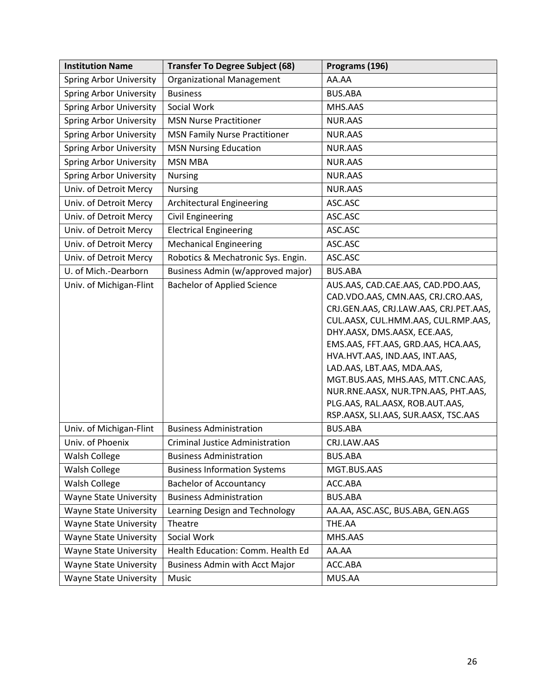| <b>Institution Name</b>        | <b>Transfer To Degree Subject (68)</b> | Programs (196)                         |
|--------------------------------|----------------------------------------|----------------------------------------|
| <b>Spring Arbor University</b> | <b>Organizational Management</b>       | AA.AA                                  |
| <b>Spring Arbor University</b> | <b>Business</b>                        | <b>BUS.ABA</b>                         |
| <b>Spring Arbor University</b> | Social Work                            | MHS.AAS                                |
| <b>Spring Arbor University</b> | <b>MSN Nurse Practitioner</b>          | NUR.AAS                                |
| <b>Spring Arbor University</b> | <b>MSN Family Nurse Practitioner</b>   | NUR.AAS                                |
| <b>Spring Arbor University</b> | <b>MSN Nursing Education</b>           | NUR.AAS                                |
| <b>Spring Arbor University</b> | <b>MSN MBA</b>                         | NUR.AAS                                |
| <b>Spring Arbor University</b> | <b>Nursing</b>                         | NUR.AAS                                |
| Univ. of Detroit Mercy         | <b>Nursing</b>                         | NUR.AAS                                |
| Univ. of Detroit Mercy         | <b>Architectural Engineering</b>       | ASC.ASC                                |
| Univ. of Detroit Mercy         | <b>Civil Engineering</b>               | ASC.ASC                                |
| Univ. of Detroit Mercy         | <b>Electrical Engineering</b>          | ASC.ASC                                |
| Univ. of Detroit Mercy         | <b>Mechanical Engineering</b>          | ASC.ASC                                |
| Univ. of Detroit Mercy         | Robotics & Mechatronic Sys. Engin.     | ASC.ASC                                |
| U. of Mich.-Dearborn           | Business Admin (w/approved major)      | <b>BUS.ABA</b>                         |
| Univ. of Michigan-Flint        | <b>Bachelor of Applied Science</b>     | AUS.AAS, CAD.CAE.AAS, CAD.PDO.AAS,     |
|                                |                                        | CAD.VDO.AAS, CMN.AAS, CRJ.CRO.AAS,     |
|                                |                                        | CRJ.GEN.AAS, CRJ.LAW.AAS, CRJ.PET.AAS, |
|                                |                                        | CUL.AASX, CUL.HMM.AAS, CUL.RMP.AAS,    |
|                                |                                        | DHY.AASX, DMS.AASX, ECE.AAS,           |
|                                |                                        | EMS.AAS, FFT.AAS, GRD.AAS, HCA.AAS,    |
|                                |                                        | HVA.HVT.AAS, IND.AAS, INT.AAS,         |
|                                |                                        | LAD.AAS, LBT.AAS, MDA.AAS,             |
|                                |                                        | MGT.BUS.AAS, MHS.AAS, MTT.CNC.AAS,     |
|                                |                                        | NUR.RNE.AASX, NUR.TPN.AAS, PHT.AAS,    |
|                                |                                        | PLG.AAS, RAL.AASX, ROB.AUT.AAS,        |
|                                |                                        | RSP.AASX, SLI.AAS, SUR.AASX, TSC.AAS   |
| Univ. of Michigan-Flint        | <b>Business Administration</b>         | <b>BUS.ABA</b>                         |
| Univ. of Phoenix               | <b>Criminal Justice Administration</b> | CRJ.LAW.AAS                            |
| <b>Walsh College</b>           | <b>Business Administration</b>         | BUS.ABA                                |
| Walsh College                  | <b>Business Information Systems</b>    | MGT.BUS.AAS                            |
| Walsh College                  | <b>Bachelor of Accountancy</b>         | ACC.ABA                                |
| <b>Wayne State University</b>  | <b>Business Administration</b>         | <b>BUS.ABA</b>                         |
| <b>Wayne State University</b>  | Learning Design and Technology         | AA.AA, ASC.ASC, BUS.ABA, GEN.AGS       |
| <b>Wayne State University</b>  | Theatre                                | THE.AA                                 |
| <b>Wayne State University</b>  | Social Work                            | MHS.AAS                                |
| <b>Wayne State University</b>  | Health Education: Comm. Health Ed      | AA.AA                                  |
| <b>Wayne State University</b>  | <b>Business Admin with Acct Major</b>  | ACC.ABA                                |
| <b>Wayne State University</b>  | Music                                  | MUS.AA                                 |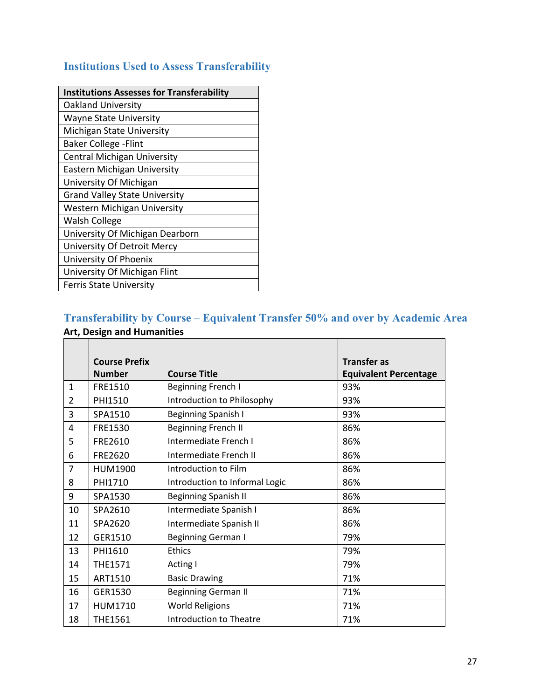# <span id="page-26-0"></span>**Institutions Used to Assess Transferability**

| <b>Institutions Assesses for Transferability</b> |
|--------------------------------------------------|
| <b>Oakland University</b>                        |
| <b>Wayne State University</b>                    |
| Michigan State University                        |
| <b>Baker College - Flint</b>                     |
| <b>Central Michigan University</b>               |
| Eastern Michigan University                      |
| University Of Michigan                           |
| <b>Grand Valley State University</b>             |
| <b>Western Michigan University</b>               |
| <b>Walsh College</b>                             |
| University Of Michigan Dearborn                  |
| University Of Detroit Mercy                      |
| University Of Phoenix                            |
| University Of Michigan Flint                     |
| <b>Ferris State University</b>                   |

# <span id="page-26-1"></span>**Transferability by Course – Equivalent Transfer 50% and over by Academic Area Art, Design and Humanities**

|                | <b>Course Prefix</b> |                                | <b>Transfer as</b>           |
|----------------|----------------------|--------------------------------|------------------------------|
|                | <b>Number</b>        | <b>Course Title</b>            | <b>Equivalent Percentage</b> |
| $\mathbf{1}$   | FRE1510              | Beginning French I             | 93%                          |
| $\overline{2}$ | PHI1510              | Introduction to Philosophy     | 93%                          |
| 3              | SPA1510              | <b>Beginning Spanish I</b>     | 93%                          |
| 4              | FRE1530              | <b>Beginning French II</b>     | 86%                          |
| 5              | FRE2610              | Intermediate French I          | 86%                          |
| 6              | FRE2620              | Intermediate French II         | 86%                          |
| $\overline{7}$ | HUM1900              | Introduction to Film           | 86%                          |
| 8              | PHI1710              | Introduction to Informal Logic | 86%                          |
| 9              | SPA1530              | <b>Beginning Spanish II</b>    | 86%                          |
| 10             | SPA2610              | Intermediate Spanish I         | 86%                          |
| 11             | SPA2620              | Intermediate Spanish II        | 86%                          |
| 12             | GER1510              | <b>Beginning German I</b>      | 79%                          |
| 13             | PHI1610              | <b>Ethics</b>                  | 79%                          |
| 14             | <b>THE1571</b>       | Acting I                       | 79%                          |
| 15             | ART1510              | <b>Basic Drawing</b>           | 71%                          |
| 16             | GER1530              | <b>Beginning German II</b>     | 71%                          |
| 17             | <b>HUM1710</b>       | <b>World Religions</b>         | 71%                          |
| 18             | <b>THE1561</b>       | Introduction to Theatre        | 71%                          |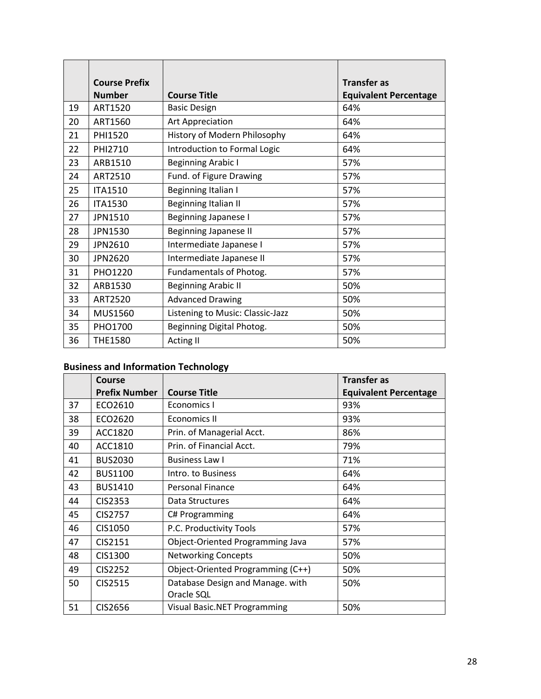|    | <b>Course Prefix</b> |                                  | <b>Transfer as</b>           |
|----|----------------------|----------------------------------|------------------------------|
|    | <b>Number</b>        | <b>Course Title</b>              | <b>Equivalent Percentage</b> |
| 19 | ART1520              | <b>Basic Design</b>              | 64%                          |
| 20 | ART1560              | Art Appreciation                 | 64%                          |
| 21 | PHI1520              | History of Modern Philosophy     | 64%                          |
| 22 | PHI2710              | Introduction to Formal Logic     | 64%                          |
| 23 | ARB1510              | <b>Beginning Arabic I</b>        | 57%                          |
| 24 | ART2510              | Fund. of Figure Drawing          | 57%                          |
| 25 | <b>ITA1510</b>       | Beginning Italian I              | 57%                          |
| 26 | <b>ITA1530</b>       | Beginning Italian II             | 57%                          |
| 27 | JPN1510              | Beginning Japanese I             | 57%                          |
| 28 | JPN1530              | <b>Beginning Japanese II</b>     | 57%                          |
| 29 | JPN2610              | Intermediate Japanese I          | 57%                          |
| 30 | <b>JPN2620</b>       | Intermediate Japanese II         | 57%                          |
| 31 | PHO1220              | Fundamentals of Photog.          | 57%                          |
| 32 | ARB1530              | <b>Beginning Arabic II</b>       | 50%                          |
| 33 | ART2520              | <b>Advanced Drawing</b>          | 50%                          |
| 34 | MUS1560              | Listening to Music: Classic-Jazz | 50%                          |
| 35 | PHO1700              | Beginning Digital Photog.        | 50%                          |
| 36 | <b>THE1580</b>       | <b>Acting II</b>                 | 50%                          |

# **Business and Information Technology**

|    | Course               |                                     | Transfer as                  |
|----|----------------------|-------------------------------------|------------------------------|
|    | <b>Prefix Number</b> | <b>Course Title</b>                 | <b>Equivalent Percentage</b> |
| 37 | ECO2610              | Economics I                         | 93%                          |
| 38 | ECO2620              | Economics II                        | 93%                          |
| 39 | ACC1820              | Prin. of Managerial Acct.           | 86%                          |
| 40 | ACC1810              | Prin. of Financial Acct.            | 79%                          |
| 41 | <b>BUS2030</b>       | <b>Business Law I</b>               | 71%                          |
| 42 | <b>BUS1100</b>       | Intro. to Business                  | 64%                          |
| 43 | <b>BUS1410</b>       | <b>Personal Finance</b>             | 64%                          |
| 44 | <b>CIS2353</b>       | Data Structures                     | 64%                          |
| 45 | CIS2757              | C# Programming                      | 64%                          |
| 46 | CIS1050              | P.C. Productivity Tools             | 57%                          |
| 47 | CIS2151              | Object-Oriented Programming Java    | 57%                          |
| 48 | CIS1300              | <b>Networking Concepts</b>          | 50%                          |
| 49 | <b>CIS2252</b>       | Object-Oriented Programming (C++)   | 50%                          |
| 50 | CIS2515              | Database Design and Manage. with    | 50%                          |
|    |                      | Oracle SQL                          |                              |
| 51 | CIS2656              | <b>Visual Basic.NET Programming</b> | 50%                          |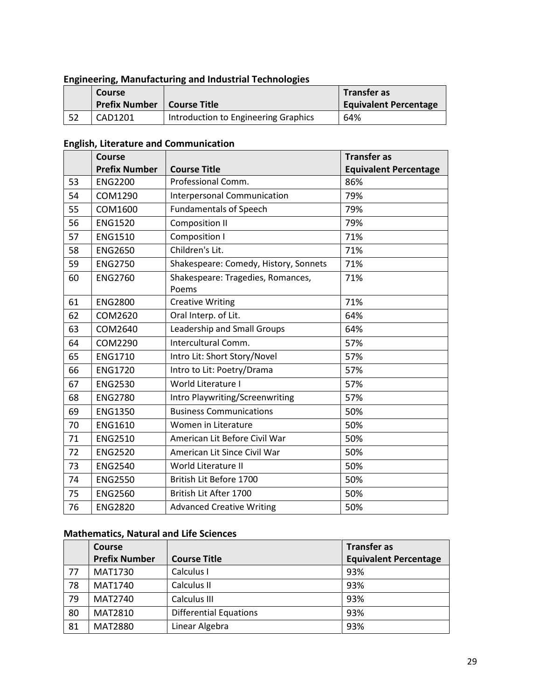## **Engineering, Manufacturing and Industrial Technologies**

| Course               |                                      | <b>Transfer as</b>           |
|----------------------|--------------------------------------|------------------------------|
| <b>Prefix Number</b> | Course Title                         | <b>Equivalent Percentage</b> |
| CAD1201              | Introduction to Engineering Graphics | 64%                          |

# **English, Literature and Communication**

|    | <b>Course</b><br><b>Prefix Number</b> | <b>Course Title</b>                        | <b>Transfer as</b>           |
|----|---------------------------------------|--------------------------------------------|------------------------------|
|    |                                       |                                            | <b>Equivalent Percentage</b> |
| 53 | <b>ENG2200</b>                        | Professional Comm.                         | 86%                          |
| 54 | COM1290                               | <b>Interpersonal Communication</b>         | 79%                          |
| 55 | COM1600                               | <b>Fundamentals of Speech</b>              | 79%                          |
| 56 | <b>ENG1520</b>                        | <b>Composition II</b>                      | 79%                          |
| 57 | <b>ENG1510</b>                        | Composition I                              | 71%                          |
| 58 | <b>ENG2650</b>                        | Children's Lit.                            | 71%                          |
| 59 | <b>ENG2750</b>                        | Shakespeare: Comedy, History, Sonnets      | 71%                          |
| 60 | <b>ENG2760</b>                        | Shakespeare: Tragedies, Romances,<br>Poems | 71%                          |
| 61 | <b>ENG2800</b>                        | <b>Creative Writing</b>                    | 71%                          |
| 62 | COM2620                               | Oral Interp. of Lit.                       | 64%                          |
| 63 | COM2640                               | Leadership and Small Groups                | 64%                          |
| 64 | COM2290                               | Intercultural Comm.                        | 57%                          |
| 65 | <b>ENG1710</b>                        | Intro Lit: Short Story/Novel               | 57%                          |
| 66 | <b>ENG1720</b>                        | Intro to Lit: Poetry/Drama                 | 57%                          |
| 67 | <b>ENG2530</b>                        | World Literature I                         | 57%                          |
| 68 | <b>ENG2780</b>                        | Intro Playwriting/Screenwriting            | 57%                          |
| 69 | <b>ENG1350</b>                        | <b>Business Communications</b>             | 50%                          |
| 70 | <b>ENG1610</b>                        | Women in Literature                        | 50%                          |
| 71 | <b>ENG2510</b>                        | American Lit Before Civil War              | 50%                          |
| 72 | <b>ENG2520</b>                        | American Lit Since Civil War               | 50%                          |
| 73 | <b>ENG2540</b>                        | World Literature II                        | 50%                          |
| 74 | <b>ENG2550</b>                        | British Lit Before 1700                    | 50%                          |
| 75 | <b>ENG2560</b>                        | British Lit After 1700                     | 50%                          |
| 76 | <b>ENG2820</b>                        | <b>Advanced Creative Writing</b>           | 50%                          |

## **Mathematics, Natural and Life Sciences**

|    | <b>Course</b>        |                               | <b>Transfer as</b>           |
|----|----------------------|-------------------------------|------------------------------|
|    | <b>Prefix Number</b> | <b>Course Title</b>           | <b>Equivalent Percentage</b> |
| 77 | <b>MAT1730</b>       | Calculus I                    | 93%                          |
| 78 | <b>MAT1740</b>       | Calculus II                   | 93%                          |
| 79 | <b>MAT2740</b>       | Calculus III                  | 93%                          |
| 80 | <b>MAT2810</b>       | <b>Differential Equations</b> | 93%                          |
| 81 | <b>MAT2880</b>       | Linear Algebra                | 93%                          |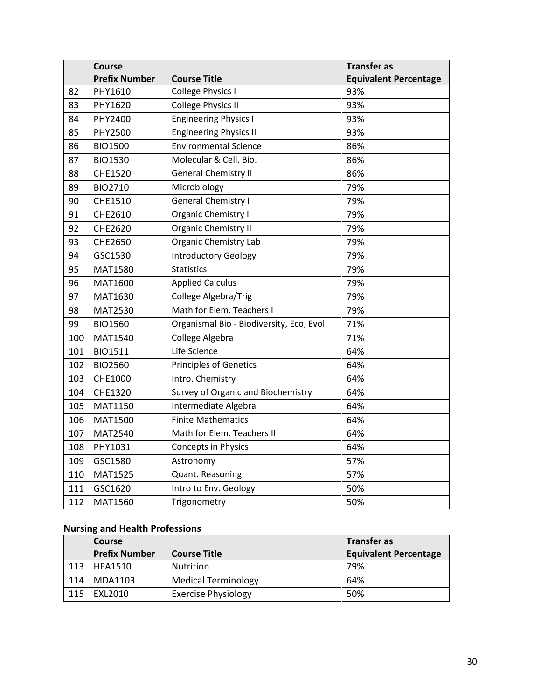|     | <b>Course</b>        |                                          | <b>Transfer as</b>           |
|-----|----------------------|------------------------------------------|------------------------------|
|     | <b>Prefix Number</b> | <b>Course Title</b>                      | <b>Equivalent Percentage</b> |
| 82  | PHY1610              | <b>College Physics I</b>                 | 93%                          |
| 83  | PHY1620              | <b>College Physics II</b>                | 93%                          |
| 84  | PHY2400              | <b>Engineering Physics I</b>             | 93%                          |
| 85  | PHY2500              | <b>Engineering Physics II</b>            | 93%                          |
| 86  | <b>BIO1500</b>       | <b>Environmental Science</b>             | 86%                          |
| 87  | <b>BIO1530</b>       | Molecular & Cell. Bio.                   | 86%                          |
| 88  | <b>CHE1520</b>       | <b>General Chemistry II</b>              | 86%                          |
| 89  | BIO2710              | Microbiology                             | 79%                          |
| 90  | <b>CHE1510</b>       | <b>General Chemistry I</b>               | 79%                          |
| 91  | CHE2610              | Organic Chemistry I                      | 79%                          |
| 92  | <b>CHE2620</b>       | <b>Organic Chemistry II</b>              | 79%                          |
| 93  | CHE2650              | <b>Organic Chemistry Lab</b>             | 79%                          |
| 94  | GSC1530              | <b>Introductory Geology</b>              | 79%                          |
| 95  | MAT1580              | <b>Statistics</b>                        | 79%                          |
| 96  | MAT1600              | <b>Applied Calculus</b>                  | 79%                          |
| 97  | MAT1630              | College Algebra/Trig                     | 79%                          |
| 98  | <b>MAT2530</b>       | Math for Elem. Teachers I                | 79%                          |
| 99  | <b>BIO1560</b>       | Organismal Bio - Biodiversity, Eco, Evol | 71%                          |
| 100 | MAT1540              | College Algebra                          | 71%                          |
| 101 | <b>BIO1511</b>       | Life Science                             | 64%                          |
| 102 | <b>BIO2560</b>       | <b>Principles of Genetics</b>            | 64%                          |
| 103 | <b>CHE1000</b>       | Intro. Chemistry                         | 64%                          |
| 104 | CHE1320              | Survey of Organic and Biochemistry       | 64%                          |
| 105 | MAT1150              | Intermediate Algebra                     | 64%                          |
| 106 | <b>MAT1500</b>       | <b>Finite Mathematics</b>                | 64%                          |
| 107 | MAT2540              | Math for Elem. Teachers II               | 64%                          |
| 108 | PHY1031              | Concepts in Physics                      | 64%                          |
| 109 | GSC1580              | Astronomy                                | 57%                          |
| 110 | <b>MAT1525</b>       | Quant. Reasoning                         | 57%                          |
| 111 | GSC1620              | Intro to Env. Geology                    | 50%                          |
| 112 | MAT1560              | Trigonometry                             | 50%                          |

# **Nursing and Health Professions**

|     | <b>Course</b>        |                            | <b>Transfer as</b>           |  |
|-----|----------------------|----------------------------|------------------------------|--|
|     | <b>Prefix Number</b> | <b>Course Title</b>        | <b>Equivalent Percentage</b> |  |
| 113 | HEA1510              | Nutrition                  | 79%                          |  |
| 114 | MDA1103              | <b>Medical Terminology</b> | 64%                          |  |
| 115 | EXL2010              | <b>Exercise Physiology</b> | 50%                          |  |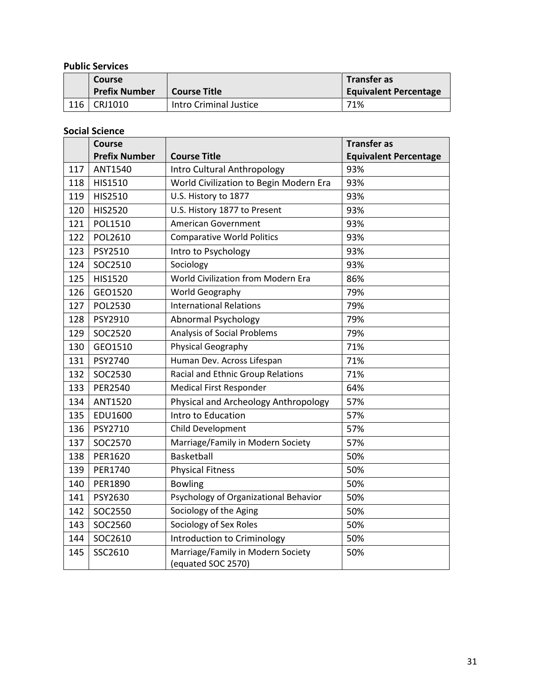## **Public Services**

|     | Course<br><b>Prefix Number</b> | <b>Course Title</b>    | <b>Transfer as</b><br><b>Equivalent Percentage</b> |
|-----|--------------------------------|------------------------|----------------------------------------------------|
| 116 | CRJ1010                        | Intro Criminal Justice | 71%                                                |

**Social Science** 

|     | <b>Course</b>        |                                                         | <b>Transfer as</b>           |
|-----|----------------------|---------------------------------------------------------|------------------------------|
|     | <b>Prefix Number</b> | <b>Course Title</b>                                     | <b>Equivalent Percentage</b> |
| 117 | ANT1540              | Intro Cultural Anthropology                             | 93%                          |
| 118 | HIS1510              | World Civilization to Begin Modern Era                  | 93%                          |
| 119 | HIS2510              | U.S. History to 1877                                    | 93%                          |
| 120 | <b>HIS2520</b>       | U.S. History 1877 to Present                            | 93%                          |
| 121 | POL1510              | <b>American Government</b>                              | 93%                          |
| 122 | POL2610              | <b>Comparative World Politics</b>                       | 93%                          |
| 123 | PSY2510              | Intro to Psychology                                     | 93%                          |
| 124 | SOC2510              | Sociology                                               | 93%                          |
| 125 | <b>HIS1520</b>       | World Civilization from Modern Era                      | 86%                          |
| 126 | GEO1520              | World Geography                                         | 79%                          |
| 127 | <b>POL2530</b>       | <b>International Relations</b>                          | 79%                          |
| 128 | PSY2910              | <b>Abnormal Psychology</b>                              | 79%                          |
| 129 | SOC2520              | Analysis of Social Problems                             | 79%                          |
| 130 | GEO1510              | Physical Geography                                      | 71%                          |
| 131 | PSY2740              | Human Dev. Across Lifespan                              | 71%                          |
| 132 | SOC2530              | Racial and Ethnic Group Relations                       | 71%                          |
| 133 | <b>PER2540</b>       | <b>Medical First Responder</b>                          | 64%                          |
| 134 | <b>ANT1520</b>       | Physical and Archeology Anthropology                    | 57%                          |
| 135 | EDU1600              | Intro to Education                                      | 57%                          |
| 136 | PSY2710              | Child Development                                       | 57%                          |
| 137 | SOC2570              | Marriage/Family in Modern Society                       | 57%                          |
| 138 | PER1620              | <b>Basketball</b>                                       | 50%                          |
| 139 | PER1740              | <b>Physical Fitness</b>                                 | 50%                          |
| 140 | PER1890              | <b>Bowling</b>                                          | 50%                          |
| 141 | PSY2630              | Psychology of Organizational Behavior                   | 50%                          |
| 142 | SOC2550              | Sociology of the Aging                                  | 50%                          |
| 143 | SOC2560              | Sociology of Sex Roles                                  | 50%                          |
| 144 | SOC2610              | Introduction to Criminology                             | 50%                          |
| 145 | SSC2610              | Marriage/Family in Modern Society<br>(equated SOC 2570) | 50%                          |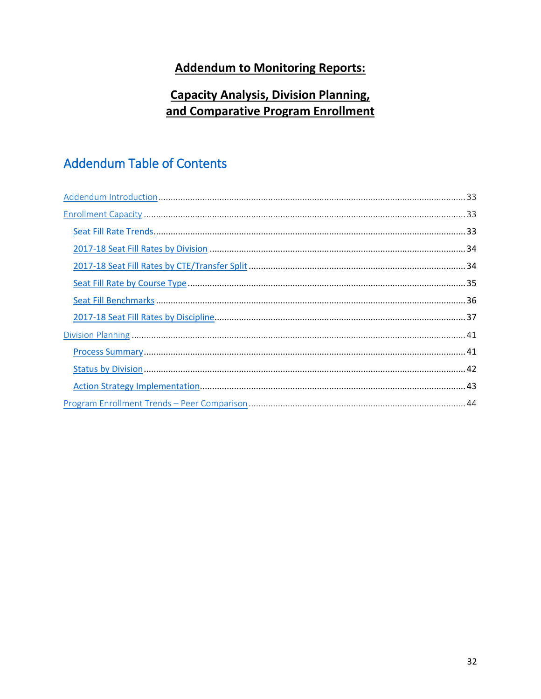# **Addendum to Monitoring Reports:**

# **Capacity Analysis, Division Planning,** and Comparative Program Enrollment

# **Addendum Table of Contents**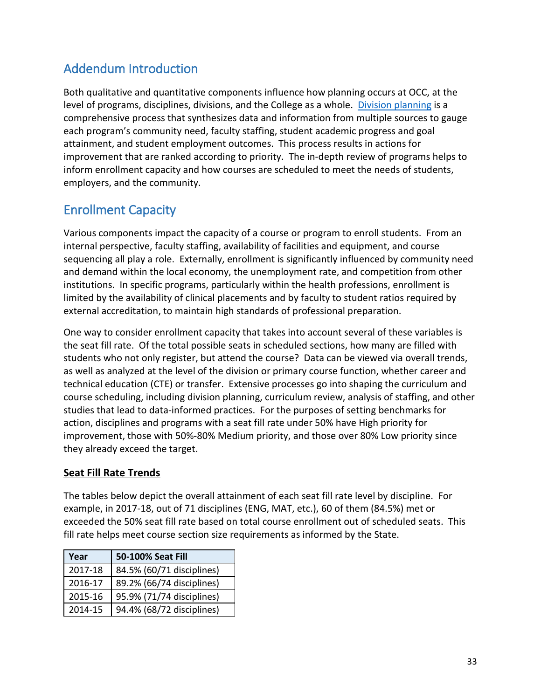# <span id="page-32-0"></span>Addendum Introduction

level of programs, disciplines, divisions, and the College as a whole. Division planning is a attainment, and student employment outcomes. This process results in actions for improvement that are ranked according to priority. The in-depth review of programs helps to employers, and the community. Both qualitative and quantitative components influence how planning occurs at OCC, at the comprehensive process that synthesizes data and information from multiple sources to gauge each program's community need, faculty staffing, student academic progress and goal inform enrollment capacity and how courses are scheduled to meet the needs of students,

# <span id="page-32-1"></span>Enrollment Capacity

 internal perspective, faculty staffing, availability of facilities and equipment, and course sequencing all play a role. Externally, enrollment is significantly influenced by community need and demand within the local economy, the unemployment rate, and competition from other institutions. In specific programs, particularly within the health professions, enrollment is external accreditation, to maintain high standards of professional preparation. Various components impact the capacity of a course or program to enroll students. From an limited by the availability of clinical placements and by faculty to student ratios required by

 the seat fill rate. Of the total possible seats in scheduled sections, how many are filled with students who not only register, but attend the course? Data can be viewed via overall trends, as well as analyzed at the level of the division or primary course function, whether career and course scheduling, including division planning, curriculum review, analysis of staffing, and other studies that lead to data-informed practices. For the purposes of setting benchmarks for they already exceed the target. One way to consider enrollment capacity that takes into account several of these variables is technical education (CTE) or transfer. Extensive processes go into shaping the curriculum and action, disciplines and programs with a seat fill rate under 50% have High priority for improvement, those with 50%-80% Medium priority, and those over 80% Low priority since

## <span id="page-32-2"></span>**Seat Fill Rate Trends**

 The tables below depict the overall attainment of each seat fill rate level by discipline. For example, in 2017-18, out of 71 disciplines (ENG, MAT, etc.), 60 of them (84.5%) met or exceeded the 50% seat fill rate based on total course enrollment out of scheduled seats. This fill rate helps meet course section size requirements as informed by the State.

| Year    | 50-100% Seat Fill         |
|---------|---------------------------|
| 2017-18 | 84.5% (60/71 disciplines) |
| 2016-17 | 89.2% (66/74 disciplines) |
| 2015-16 | 95.9% (71/74 disciplines) |
| 2014-15 | 94.4% (68/72 disciplines) |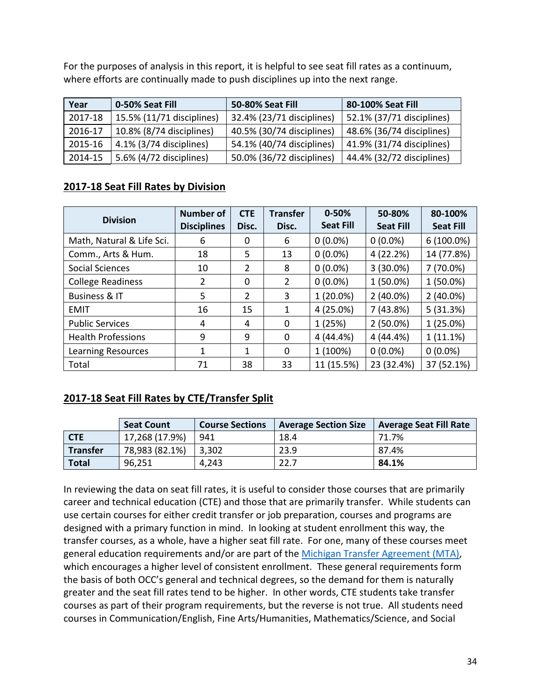where efforts are continually made to push disciplines up into the next range. For the purposes of analysis in this report, it is helpful to see seat fill rates as a continuum,

| Year    | 0-50% Seat Fill           | 50-80% Seat Fill          | 80-100% Seat Fill         |
|---------|---------------------------|---------------------------|---------------------------|
| 2017-18 | 15.5% (11/71 disciplines) | 32.4% (23/71 disciplines) | 52.1% (37/71 disciplines) |
| 2016-17 | 10.8% (8/74 disciplines)  | 40.5% (30/74 disciplines) | 48.6% (36/74 disciplines) |
| 2015-16 | 4.1% (3/74 disciplines)   | 54.1% (40/74 disciplines) | 41.9% (31/74 disciplines) |
| 2014-15 | 5.6% (4/72 disciplines)   | 50.0% (36/72 disciplines) | 44.4% (32/72 disciplines) |

## <span id="page-33-0"></span>**2017-18 Seat Fill Rates by Division**

| <b>Division</b>           | <b>Number of</b><br><b>Disciplines</b> | <b>CTE</b><br>Disc. | <b>Transfer</b><br>Disc. | $0 - 50%$<br><b>Seat Fill</b> | 50-80%<br><b>Seat Fill</b> | 80-100%<br><b>Seat Fill</b> |
|---------------------------|----------------------------------------|---------------------|--------------------------|-------------------------------|----------------------------|-----------------------------|
| Math, Natural & Life Sci. | 6                                      | 0                   | 6                        | $0(0.0\%)$                    | $0(0.0\%)$                 | $6(100.0\%)$                |
| Comm., Arts & Hum.        | 18                                     | 5                   | 13                       | $0(0.0\%)$                    | 4 (22.2%)                  | 14 (77.8%)                  |
| Social Sciences           | 10                                     | $\overline{2}$      | 8                        | $0(0.0\%)$                    | $3(30.0\%)$                | 7 (70.0%)                   |
| <b>College Readiness</b>  | $\overline{2}$                         | 0                   | $\overline{2}$           | $0(0.0\%)$                    | $1(50.0\%)$                | $1(50.0\%)$                 |
| <b>Business &amp; IT</b>  | 5                                      | $\overline{2}$      | 3                        | 1 (20.0%)                     | $2(40.0\%)$                | $2(40.0\%)$                 |
| <b>EMIT</b>               | 16                                     | 15                  | 1                        | 4 (25.0%)                     | 7(43.8%)                   | 5(31.3%)                    |
| <b>Public Services</b>    | 4                                      | 4                   | 0                        | 1(25%)                        | $2(50.0\%)$                | $1(25.0\%)$                 |
| <b>Health Professions</b> | 9                                      | 9                   | 0                        | 4 (44.4%)                     | 4 (44.4%)                  | 1(11.1%)                    |
| <b>Learning Resources</b> | 1                                      | 1                   | 0                        | 1 (100%)                      | $0(0.0\%)$                 | $0(0.0\%)$                  |
| Total                     | 71                                     | 38                  | 33                       | 11 (15.5%)                    | 23 (32.4%)                 | 37 (52.1%)                  |

## <span id="page-33-1"></span>**2017-18 Seat Fill Rates by CTE/Transfer Split**

|                 | <b>Seat Count</b> | <b>Course Sections</b> | <b>Average Section Size</b> | <b>Average Seat Fill Rate</b> |
|-----------------|-------------------|------------------------|-----------------------------|-------------------------------|
| <b>CTE</b>      | 17,268 (17.9%)    | 941                    | 18.4                        | 71.7%                         |
| <b>Transfer</b> | 78,983 (82.1%)    | 3,302                  | 23.9                        | 87.4%                         |
| <b>Total</b>    | 96.251            | 4,243                  | 22.7                        | 84.1%                         |

 In reviewing the data on seat fill rates, it is useful to consider those courses that are primarily career and technical education (CTE) and those that are primarily transfer. While students can designed with a primary function in mind. In looking at student enrollment this way, the transfer courses, as a whole, have a higher seat fill rate. For one, many of these courses meet general education requirements and/or are part of the [Michigan Transfer Agreement \(MTA\),](https://www.macrao.org/Publications/MTA.asp) which encourages a higher level of consistent enrollment. These general requirements form the basis of both OCC's general and technical degrees, so the demand for them is naturally greater and the seat fill rates tend to be higher. In other words, CTE students take transfer courses as part of their program requirements, but the reverse is not true. All students need use certain courses for either credit transfer or job preparation, courses and programs are courses in Communication/English, Fine Arts/Humanities, Mathematics/Science, and Social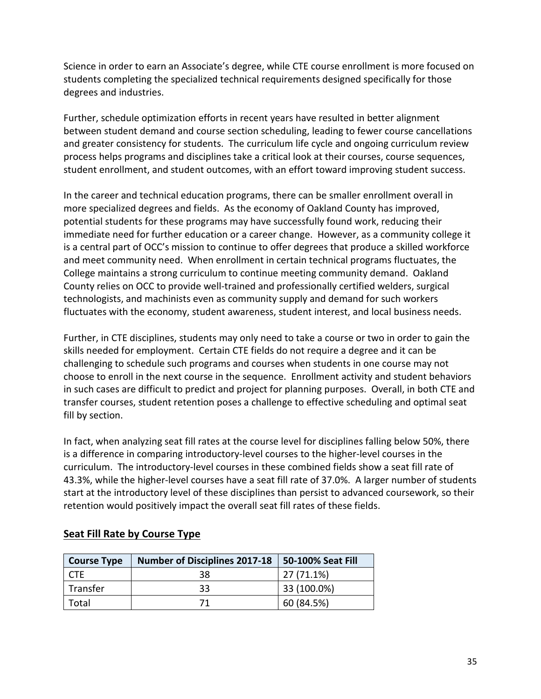Science in order to earn an Associate's degree, while CTE course enrollment is more focused on students completing the specialized technical requirements designed specifically for those degrees and industries.

 process helps programs and disciplines take a critical look at their courses, course sequences, student enrollment, and student outcomes, with an effort toward improving student success. Further, schedule optimization efforts in recent years have resulted in better alignment between student demand and course section scheduling, leading to fewer course cancellations and greater consistency for students. The curriculum life cycle and ongoing curriculum review

 more specialized degrees and fields. As the economy of Oakland County has improved, is a central part of OCC's mission to continue to offer degrees that produce a skilled workforce College maintains a strong curriculum to continue meeting community demand. Oakland County relies on OCC to provide well-trained and professionally certified welders, surgical fluctuates with the economy, student awareness, student interest, and local business needs. In the career and technical education programs, there can be smaller enrollment overall in potential students for these programs may have successfully found work, reducing their immediate need for further education or a career change. However, as a community college it and meet community need. When enrollment in certain technical programs fluctuates, the technologists, and machinists even as community supply and demand for such workers

 Further, in CTE disciplines, students may only need to take a course or two in order to gain the challenging to schedule such programs and courses when students in one course may not in such cases are difficult to predict and project for planning purposes. Overall, in both CTE and transfer courses, student retention poses a challenge to effective scheduling and optimal seat fill by section. skills needed for employment. Certain CTE fields do not require a degree and it can be choose to enroll in the next course in the sequence. Enrollment activity and student behaviors

 In fact, when analyzing seat fill rates at the course level for disciplines falling below 50%, there curriculum. The introductory-level courses in these combined fields show a seat fill rate of 43.3%, while the higher-level courses have a seat fill rate of 37.0%. A larger number of students start at the introductory level of these disciplines than persist to advanced coursework, so their retention would positively impact the overall seat fill rates of these fields. is a difference in comparing introductory-level courses to the higher-level courses in the

| <b>Course Type</b> | <b>Number of Disciplines 2017-18</b> | 50-100% Seat Fill |
|--------------------|--------------------------------------|-------------------|
|                    | 38                                   | 27 (71.1%)        |
| Transfer           | 33                                   | 33 (100.0%)       |
| Total              | 71                                   | 60 (84.5%)        |

## <span id="page-34-0"></span> **Seat Fill Rate by Course Type**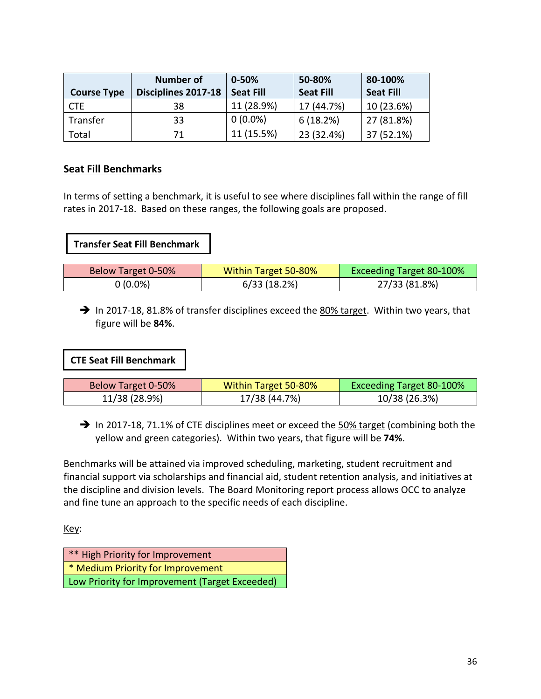|                    | Number of           | $0 - 50%$        | 50-80%           | 80-100%          |
|--------------------|---------------------|------------------|------------------|------------------|
| <b>Course Type</b> | Disciplines 2017-18 | <b>Seat Fill</b> | <b>Seat Fill</b> | <b>Seat Fill</b> |
| CTE                | 38                  | 11 (28.9%)       | 17 (44.7%)       | 10 (23.6%)       |
| Transfer           | 33                  | $0(0.0\%)$       | 6(18.2%)         | 27 (81.8%)       |
| Total              | 71                  | 11 (15.5%)       | 23 (32.4%)       | 37 (52.1%)       |

## <span id="page-35-0"></span>**Seat Fill Benchmarks**

 In terms of setting a benchmark, it is useful to see where disciplines fall within the range of fill rates in 2017-18. Based on these ranges, the following goals are proposed.

#### **Transfer Seat Fill Benchmark**

| Below Target 0-50% | Within Target 50-80% | <b>Exceeding Target 80-100%</b> |
|--------------------|----------------------|---------------------------------|
| $0(0.0\%)$         | 6/33 (18.2%)         | 27/33 (81.8%)                   |

In 2017-18, 81.8% of transfer disciplines exceed the 80% target. Within two years, that figure will be **84%**.

**CTE Seat Fill Benchmark** 

| Below Target 0-50% | Within Target 50-80% | <b>Exceeding Target 80-100%</b> |
|--------------------|----------------------|---------------------------------|
| 11/38 (28.9%)      | 17/38 (44.7%)        | 10/38 (26.3%)                   |

 $\rightarrow$  In 2017-18, 71.1% of CTE disciplines meet or exceed the  $50\%$  target (combining both the yellow and green categories). Within two years, that figure will be **74%**.

 financial support via scholarships and financial aid, student retention analysis, and initiatives at Benchmarks will be attained via improved scheduling, marketing, student recruitment and the discipline and division levels. The Board Monitoring report process allows OCC to analyze and fine tune an approach to the specific needs of each discipline.

Key:

| ** High Priority for Improvement               |
|------------------------------------------------|
| <sup>*</sup> Medium Priority for Improvement   |
| Low Priority for Improvement (Target Exceeded) |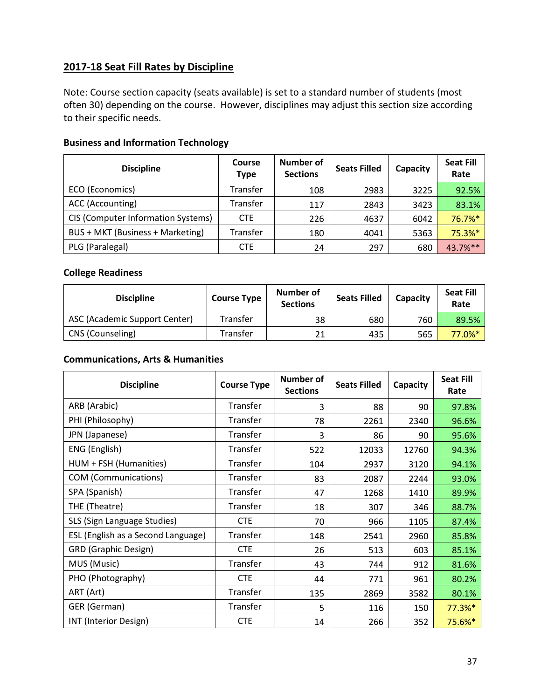## **2017-18 Seat Fill Rates by Discipline**

 to their specific needs. Note: Course section capacity (seats available) is set to a standard number of students (most often 30) depending on the course. However, disciplines may adjust this section size according

## **Business and Information Technology**

| <b>Discipline</b>                  | Course<br>Type | Number of<br><b>Sections</b> | <b>Seats Filled</b> | Capacity | <b>Seat Fill</b><br>Rate |
|------------------------------------|----------------|------------------------------|---------------------|----------|--------------------------|
| ECO (Economics)                    | Transfer       | 108                          | 2983                | 3225     | 92.5%                    |
| ACC (Accounting)                   | Transfer       | 117                          | 2843                | 3423     | 83.1%                    |
| CIS (Computer Information Systems) | <b>CTE</b>     | 226                          | 4637                | 6042     | 76.7%*                   |
| BUS + MKT (Business + Marketing)   | Transfer       | 180                          | 4041                | 5363     | 75.3%*                   |
| PLG (Paralegal)                    | <b>CTE</b>     | 24                           | 297                 | 680      | 43.7%**                  |

## **College Readiness**

| <b>Discipline</b>             | <b>Course Type</b> | Number of<br><b>Sections</b> | <b>Seats Filled</b> | Capacity | <b>Seat Fill</b><br>Rate |
|-------------------------------|--------------------|------------------------------|---------------------|----------|--------------------------|
| ASC (Academic Support Center) | Transfer           | 38                           | 680                 | 760      | 89.5%                    |
| CNS (Counseling)              | $\tau$ ransfer     | 21                           | 435                 | 565      | 77.0%*                   |

#### **Communications, Arts & Humanities**

| <b>Discipline</b>                  | <b>Course Type</b> | Number of<br><b>Sections</b> | <b>Seats Filled</b> | Capacity | <b>Seat Fill</b><br>Rate |
|------------------------------------|--------------------|------------------------------|---------------------|----------|--------------------------|
| ARB (Arabic)                       | Transfer           | 3                            | 88                  | 90       | 97.8%                    |
| PHI (Philosophy)                   | Transfer           | 78                           | 2261                | 2340     | 96.6%                    |
| JPN (Japanese)                     | Transfer           | 3                            | 86                  | 90       | 95.6%                    |
| ENG (English)                      | Transfer           | 522                          | 12033               | 12760    | 94.3%                    |
| HUM + FSH (Humanities)             | Transfer           | 104                          | 2937                | 3120     | 94.1%                    |
| <b>COM</b> (Communications)        | Transfer           | 83                           | 2087                | 2244     | 93.0%                    |
| SPA (Spanish)                      | Transfer           | 47                           | 1268                | 1410     | 89.9%                    |
| THE (Theatre)                      | Transfer           | 18                           | 307                 | 346      | 88.7%                    |
| SLS (Sign Language Studies)        | <b>CTE</b>         | 70                           | 966                 | 1105     | 87.4%                    |
| ESL (English as a Second Language) | Transfer           | 148                          | 2541                | 2960     | 85.8%                    |
| <b>GRD (Graphic Design)</b>        | <b>CTE</b>         | 26                           | 513                 | 603      | 85.1%                    |
| MUS (Music)                        | Transfer           | 43                           | 744                 | 912      | 81.6%                    |
| PHO (Photography)                  | <b>CTE</b>         | 44                           | 771                 | 961      | 80.2%                    |
| ART (Art)                          | Transfer           | 135                          | 2869                | 3582     | 80.1%                    |
| GER (German)                       | Transfer           | 5                            | 116                 | 150      | 77.3%*                   |
| INT (Interior Design)              | <b>CTE</b>         | 14                           | 266                 | 352      | 75.6%*                   |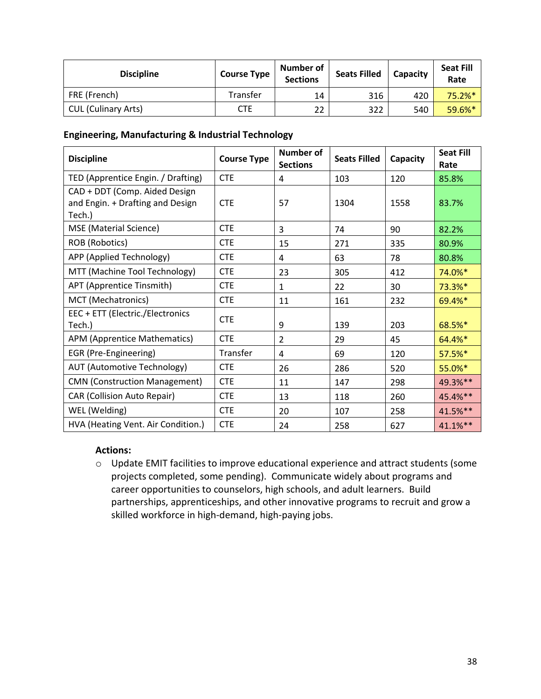| <b>Discipline</b>          | <b>Course Type</b> | Number of<br><b>Sections</b> | <b>Seats Filled</b> | Capacity | <b>Seat Fill</b><br>Rate |
|----------------------------|--------------------|------------------------------|---------------------|----------|--------------------------|
| FRE (French)               | Transfer           | 14                           | 316                 | 420      | 75.2%*                   |
| <b>CUL (Culinary Arts)</b> | <b>CTE</b>         | 22                           | 322                 | 540      | 59.6%*                   |

#### **Engineering, Manufacturing & Industrial Technology**

| <b>Discipline</b>                                                           | <b>Course Type</b> | <b>Number of</b><br><b>Sections</b> | <b>Seats Filled</b> | Capacity | <b>Seat Fill</b><br>Rate |
|-----------------------------------------------------------------------------|--------------------|-------------------------------------|---------------------|----------|--------------------------|
| TED (Apprentice Engin. / Drafting)                                          | <b>CTE</b>         | 4                                   | 103                 | 120      | 85.8%                    |
| CAD + DDT (Comp. Aided Design<br>and Engin. + Drafting and Design<br>Tech.) | <b>CTE</b>         | 57                                  | 1304                | 1558     | 83.7%                    |
| MSE (Material Science)                                                      | <b>CTE</b>         | 3                                   | 74                  | 90       | 82.2%                    |
| ROB (Robotics)                                                              | <b>CTE</b>         | 15                                  | 271                 | 335      | 80.9%                    |
| APP (Applied Technology)                                                    | <b>CTE</b>         | 4                                   | 63                  | 78       | 80.8%                    |
| MTT (Machine Tool Technology)                                               | <b>CTE</b>         | 23                                  | 305                 | 412      | 74.0%*                   |
| APT (Apprentice Tinsmith)                                                   | <b>CTE</b>         | $\mathbf{1}$                        | 22                  | 30       | 73.3%*                   |
| MCT (Mechatronics)                                                          | <b>CTE</b>         | 11                                  | 161                 | 232      | 69.4%*                   |
| EEC + ETT (Electric./Electronics<br>Tech.)                                  | <b>CTE</b>         | 9                                   | 139                 | 203      | 68.5%*                   |
| APM (Apprentice Mathematics)                                                | <b>CTE</b>         | $\overline{2}$                      | 29                  | 45       | 64.4%*                   |
| EGR (Pre-Engineering)                                                       | Transfer           | 4                                   | 69                  | 120      | 57.5%*                   |
| <b>AUT (Automotive Technology)</b>                                          | <b>CTE</b>         | 26                                  | 286                 | 520      | 55.0%*                   |
| <b>CMN (Construction Management)</b>                                        | <b>CTE</b>         | 11                                  | 147                 | 298      | 49.3%**                  |
| <b>CAR (Collision Auto Repair)</b>                                          | <b>CTE</b>         | 13                                  | 118                 | 260      | 45.4%**                  |
| WEL (Welding)                                                               | <b>CTE</b>         | 20                                  | 107                 | 258      | 41.5%**                  |
| HVA (Heating Vent. Air Condition.)                                          | <b>CTE</b>         | 24                                  | 258                 | 627      | 41.1%**                  |

#### **Actions:**

 o Update EMIT facilities to improve educational experience and attract students (some projects completed, some pending). Communicate widely about programs and career opportunities to counselors, high schools, and adult learners. Build partnerships, apprenticeships, and other innovative programs to recruit and grow a skilled workforce in high-demand, high-paying jobs.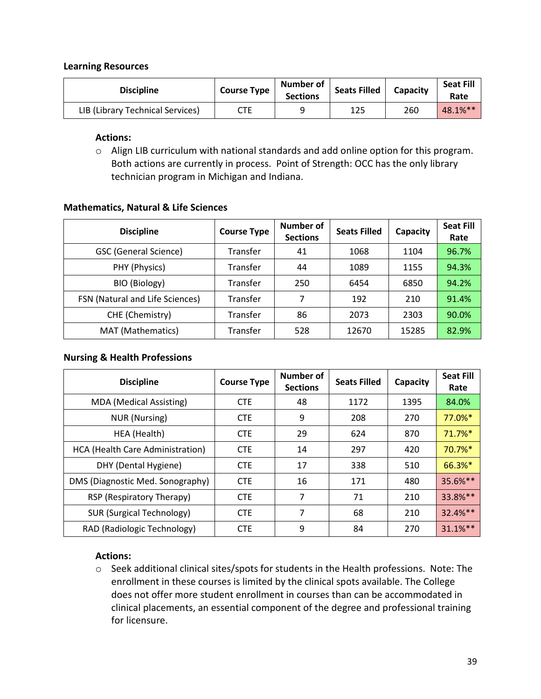#### **Learning Resources**

| <b>Discipline</b>                | <b>Course Type</b> | Number of<br><b>Sections</b> | <b>Seats Filled</b> | Capacity | Seat Fill<br>Rate |
|----------------------------------|--------------------|------------------------------|---------------------|----------|-------------------|
| LIB (Library Technical Services) | CTE                |                              | 125                 | 260      | 48.1%**           |

#### **Actions:**

 o Align LIB curriculum with national standards and add online option for this program. Both actions are currently in process. Point of Strength: OCC has the only library technician program in Michigan and Indiana.

#### **Mathematics, Natural & Life Sciences**

| <b>Discipline</b>               | <b>Course Type</b> | Number of<br><b>Sections</b> | <b>Seats Filled</b> | Capacity | <b>Seat Fill</b><br>Rate |
|---------------------------------|--------------------|------------------------------|---------------------|----------|--------------------------|
| <b>GSC (General Science)</b>    | Transfer           | 41                           | 1068                | 1104     | 96.7%                    |
| PHY (Physics)                   | Transfer           | 44                           | 1089                | 1155     | 94.3%                    |
| BIO (Biology)                   | Transfer           | 250                          | 6454                | 6850     | 94.2%                    |
| FSN (Natural and Life Sciences) | Transfer           | 7                            | 192                 | 210      | 91.4%                    |
| CHE (Chemistry)                 | Transfer           | 86                           | 2073                | 2303     | 90.0%                    |
| MAT (Mathematics)               | Transfer           | 528                          | 12670               | 15285    | 82.9%                    |

#### **Nursing & Health Professions**

| <b>Discipline</b>                | <b>Course Type</b> | Number of<br><b>Sections</b> | <b>Seats Filled</b> | Capacity | <b>Seat Fill</b><br>Rate |
|----------------------------------|--------------------|------------------------------|---------------------|----------|--------------------------|
| <b>MDA</b> (Medical Assisting)   | <b>CTE</b>         | 48                           | 1172                | 1395     | 84.0%                    |
| <b>NUR (Nursing)</b>             | <b>CTE</b>         | 9                            | 208                 | 270      | 77.0%*                   |
| HEA (Health)                     | <b>CTE</b>         | 29                           | 624                 | 870      | $71.7%$ *                |
| HCA (Health Care Administration) | <b>CTE</b>         | 14                           | 297                 | 420      | $70.7\%$ <sup>*</sup>    |
| DHY (Dental Hygiene)             | <b>CTE</b>         | 17                           | 338                 | 510      | 66.3%*                   |
| DMS (Diagnostic Med. Sonography) | <b>CTE</b>         | 16                           | 171                 | 480      | 35.6%**                  |
| RSP (Respiratory Therapy)        | <b>CTE</b>         | 7                            | 71                  | 210      | 33.8%**                  |
| <b>SUR (Surgical Technology)</b> | <b>CTE</b>         | 7                            | 68                  | 210      | $32.4%$ **               |
| RAD (Radiologic Technology)      | <b>CTE</b>         | 9                            | 84                  | 270      | $31.1%$ **               |

#### **Actions:**

 o Seek additional clinical sites/spots for students in the Health professions. Note: The enrollment in these courses is limited by the clinical spots available. The College does not offer more student enrollment in courses than can be accommodated in clinical placements, an essential component of the degree and professional training for licensure.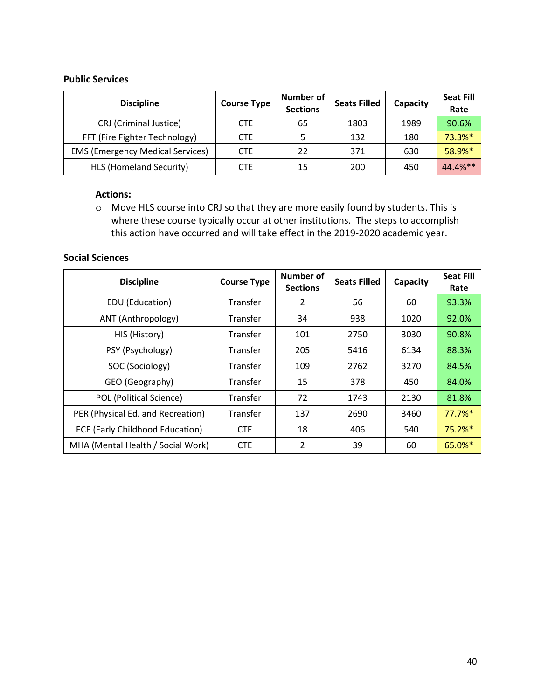#### **Public Services**

| <b>Discipline</b>                       | <b>Course Type</b> | Number of<br><b>Sections</b> | <b>Seats Filled</b> | Capacity | <b>Seat Fill</b><br>Rate |
|-----------------------------------------|--------------------|------------------------------|---------------------|----------|--------------------------|
| CRJ (Criminal Justice)                  | <b>CTE</b>         | 65                           | 1803                | 1989     | 90.6%                    |
| FFT (Fire Fighter Technology)           | <b>CTE</b>         |                              | 132                 | 180      | 73.3%*                   |
| <b>EMS (Emergency Medical Services)</b> | <b>CTE</b>         | 22                           | 371                 | 630      | 58.9%*                   |
| HLS (Homeland Security)                 | CTE                | 15                           | 200                 | 450      | 44.4%**                  |

#### **Actions:**

 $\circ$  Move HLS course into CRJ so that they are more easily found by students. This is where these course typically occur at other institutions. The steps to accomplish this action have occurred and will take effect in the 2019-2020 academic year.

## **Social Sciences**

| <b>Discipline</b>                      | <b>Course Type</b> | Number of<br><b>Sections</b> | <b>Seats Filled</b> | Capacity | <b>Seat Fill</b><br>Rate |
|----------------------------------------|--------------------|------------------------------|---------------------|----------|--------------------------|
| EDU (Education)                        | Transfer           | 2                            | 56                  | 60       | 93.3%                    |
| ANT (Anthropology)                     | Transfer           | 34                           | 938                 | 1020     | 92.0%                    |
| HIS (History)                          | Transfer           | 101                          | 2750                | 3030     | 90.8%                    |
| PSY (Psychology)                       | Transfer           | 205                          | 5416                | 6134     | 88.3%                    |
| SOC (Sociology)                        | Transfer           | 109                          | 2762                | 3270     | 84.5%                    |
| GEO (Geography)                        | Transfer           | 15                           | 378                 | 450      | 84.0%                    |
| POL (Political Science)                | Transfer           | 72                           | 1743                | 2130     | 81.8%                    |
| PER (Physical Ed. and Recreation)      | Transfer           | 137                          | 2690                | 3460     | 77.7%*                   |
| <b>ECE (Early Childhood Education)</b> | <b>CTE</b>         | 18                           | 406                 | 540      | 75.2%*                   |
| MHA (Mental Health / Social Work)      | <b>CTE</b>         | $\overline{2}$               | 39                  | 60       | 65.0%*                   |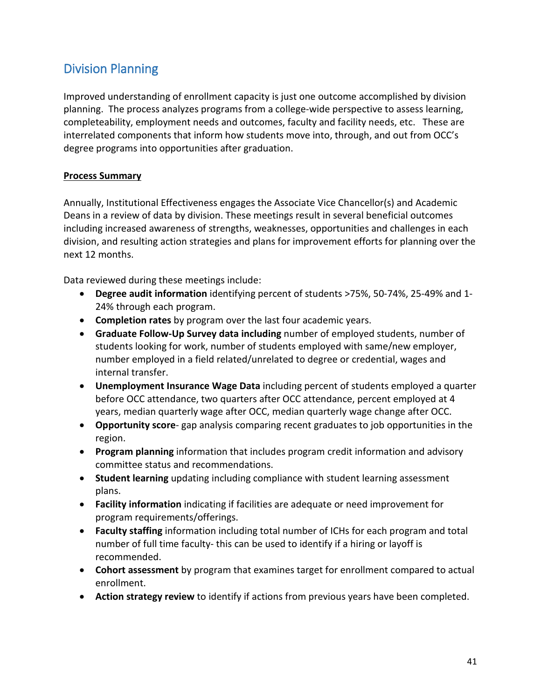# Division Planning

 planning. The process analyzes programs from a college-wide perspective to assess learning, completeability, employment needs and outcomes, faculty and facility needs, etc. These are degree programs into opportunities after graduation. Improved understanding of enrollment capacity is just one outcome accomplished by division interrelated components that inform how students move into, through, and out from OCC's

## **Process Summary**

 Annually, Institutional Effectiveness engages the Associate Vice Chancellor(s) and Academic Deans in a review of data by division. These meetings result in several beneficial outcomes division, and resulting action strategies and plans for improvement efforts for planning over the including increased awareness of strengths, weaknesses, opportunities and challenges in each next 12 months.

Data reviewed during these meetings include:

- **Degree audit information** identifying percent of students >75%, 50-74%, 25-49% and 1- 24% through each program.
- **Completion rates** by program over the last four academic years.
- **Graduate Follow-Up Survey data including** number of employed students, number of students looking for work, number of students employed with same/new employer, number employed in a field related/unrelated to degree or credential, wages and internal transfer.
- years, median quarterly wage after OCC, median quarterly wage change after OCC. • **Unemployment Insurance Wage Data** including percent of students employed a quarter before OCC attendance, two quarters after OCC attendance, percent employed at 4
- **Opportunity score** gap analysis comparing recent graduates to job opportunities in the region.
- **Program planning** information that includes program credit information and advisory committee status and recommendations.
- **Student learning** updating including compliance with student learning assessment plans.
- **Facility information** indicating if facilities are adequate or need improvement for program requirements/offerings.
- **Faculty staffing** information including total number of ICHs for each program and total number of full time faculty- this can be used to identify if a hiring or layoff is recommended.
- **Cohort assessment** by program that examines target for enrollment compared to actual enrollment.
- **Action strategy review** to identify if actions from previous years have been completed.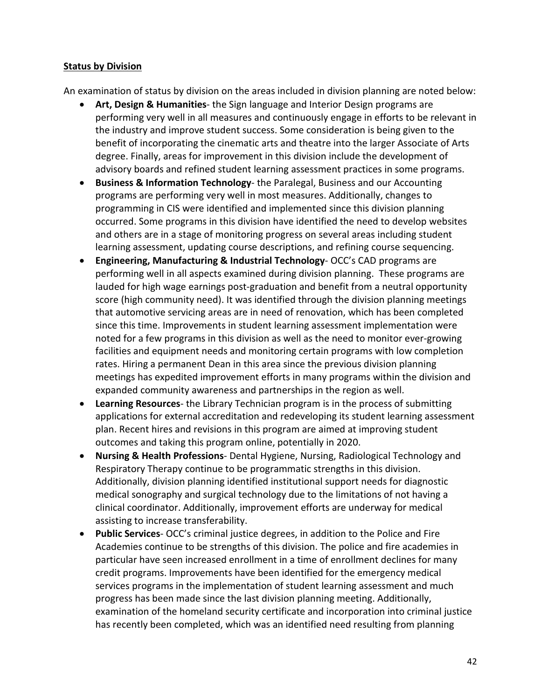#### **Status by Division**

An examination of status by division on the areas included in division planning are noted below:

- performing very well in all measures and continuously engage in efforts to be relevant in the industry and improve student success. Some consideration is being given to the • **Art, Design & Humanities**- the Sign language and Interior Design programs are benefit of incorporating the cinematic arts and theatre into the larger Associate of Arts degree. Finally, areas for improvement in this division include the development of advisory boards and refined student learning assessment practices in some programs.
- occurred. Some programs in this division have identified the need to develop websites and others are in a stage of monitoring progress on several areas including student • **Business & Information Technology**- the Paralegal, Business and our Accounting programs are performing very well in most measures. Additionally, changes to programming in CIS were identified and implemented since this division planning learning assessment, updating course descriptions, and refining course sequencing.
- performing well in all aspects examined during division planning. These programs are lauded for high wage earnings post-graduation and benefit from a neutral opportunity facilities and equipment needs and monitoring certain programs with low completion • **Engineering, Manufacturing & Industrial Technology**- OCC's CAD programs are score (high community need). It was identified through the division planning meetings that automotive servicing areas are in need of renovation, which has been completed since this time. Improvements in student learning assessment implementation were noted for a few programs in this division as well as the need to monitor ever-growing rates. Hiring a permanent Dean in this area since the previous division planning meetings has expedited improvement efforts in many programs within the division and expanded community awareness and partnerships in the region as well.
- • **Learning Resources** the Library Technician program is in the process of submitting applications for external accreditation and redeveloping its student learning assessment plan. Recent hires and revisions in this program are aimed at improving student outcomes and taking this program online, potentially in 2020.
- Respiratory Therapy continue to be programmatic strengths in this division. • **Nursing & Health Professions**- Dental Hygiene, Nursing, Radiological Technology and Additionally, division planning identified institutional support needs for diagnostic medical sonography and surgical technology due to the limitations of not having a clinical coordinator. Additionally, improvement efforts are underway for medical assisting to increase transferability.
- • **Public Services** OCC's criminal justice degrees, in addition to the Police and Fire credit programs. Improvements have been identified for the emergency medical examination of the homeland security certificate and incorporation into criminal justice Academies continue to be strengths of this division. The police and fire academies in particular have seen increased enrollment in a time of enrollment declines for many services programs in the implementation of student learning assessment and much progress has been made since the last division planning meeting. Additionally, has recently been completed, which was an identified need resulting from planning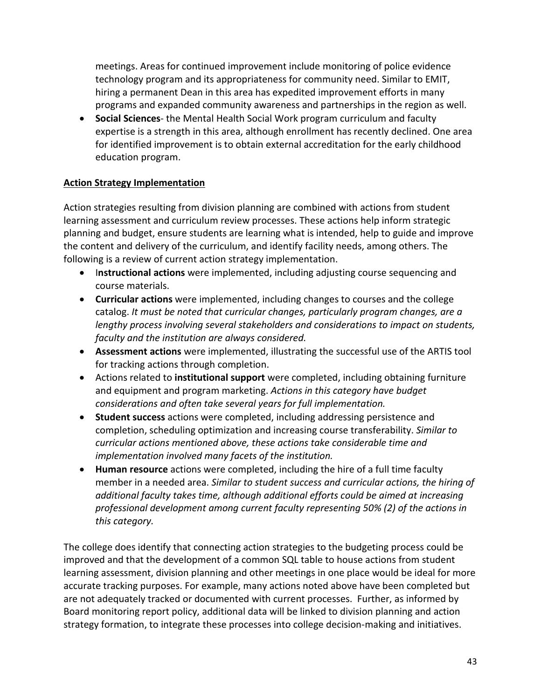technology program and its appropriateness for community need. Similar to EMIT, hiring a permanent Dean in this area has expedited improvement efforts in many meetings. Areas for continued improvement include monitoring of police evidence programs and expanded community awareness and partnerships in the region as well.

 • **Social Sciences**- the Mental Health Social Work program curriculum and faculty expertise is a strength in this area, although enrollment has recently declined. One area for identified improvement is to obtain external accreditation for the early childhood education program.

## **Action Strategy Implementation**

 learning assessment and curriculum review processes. These actions help inform strategic Action strategies resulting from division planning are combined with actions from student planning and budget, ensure students are learning what is intended, help to guide and improve the content and delivery of the curriculum, and identify facility needs, among others. The following is a review of current action strategy implementation.

- I**nstructional actions** were implemented, including adjusting course sequencing and course materials.
- **Curricular actions** were implemented, including changes to courses and the college catalog. *It must be noted that curricular changes, particularly program changes, are a lengthy process involving several stakeholders and considerations to impact on students, faculty and the institution are always considered.*
- • **Assessment actions** were implemented, illustrating the successful use of the ARTIS tool for tracking actions through completion.
- • Actions related to **institutional support** were completed, including obtaining furniture *considerations and often take several years for full implementation.* and equipment and program marketing. *Actions in this category have budget*
- *implementation involved many facets of the institution.* • **Student success** actions were completed, including addressing persistence and completion, scheduling optimization and increasing course transferability. *Similar to curricular actions mentioned above, these actions take considerable time and*
- • **Human resource** actions were completed, including the hire of a full time faculty member in a needed area. *Similar to student success and curricular actions, the hiring of additional faculty takes time, although additional efforts could be aimed at increasing professional development among current faculty representing 50% (2) of the actions in this category.*

 The college does identify that connecting action strategies to the budgeting process could be learning assessment, division planning and other meetings in one place would be ideal for more accurate tracking purposes. For example, many actions noted above have been completed but are not adequately tracked or documented with current processes. Further, as informed by strategy formation, to integrate these processes into college decision-making and initiatives. improved and that the development of a common SQL table to house actions from student Board monitoring report policy, additional data will be linked to division planning and action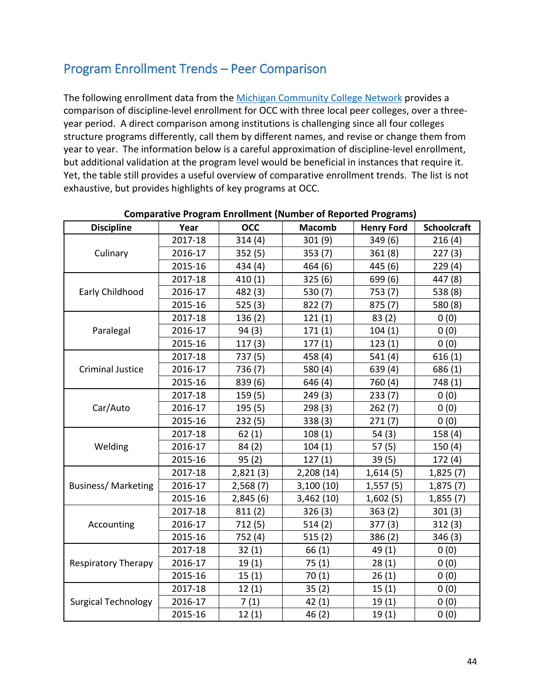# Program Enrollment Trends – Peer Comparison

 year to year. The information below is a careful approximation of discipline-level enrollment, but additional validation at the program level would be beneficial in instances that require it. Yet, the table still provides a useful overview of comparative enrollment trends. The list is not The following enrollment data from the [Michigan Community College Network](http://www.michigancc.net/ccdata/sd/yearendall.aspx) provides a comparison of discipline-level enrollment for OCC with three local peer colleges, over a threeyear period. A direct comparison among institutions is challenging since all four colleges structure programs differently, call them by different names, and revise or change them from exhaustive, but provides highlights of key programs at OCC.

| <b>Discipline</b>          | Year    | <b>OCC</b> | <b>Macomb</b> | <b>Henry Ford</b> | <b>Schoolcraft</b> |
|----------------------------|---------|------------|---------------|-------------------|--------------------|
|                            | 2017-18 | 314(4)     | 301(9)        | 349 (6)           | 216(4)             |
| Culinary                   | 2016-17 | 352(5)     | 353(7)        | 361(8)            | 227(3)             |
|                            | 2015-16 | 434 (4)    | 464 (6)       | 445 (6)           | 229(4)             |
| Early Childhood            | 2017-18 | 410(1)     | 325(6)        | 699 (6)           | 447 (8)            |
|                            | 2016-17 | 482 (3)    | 530 (7)       | 753 (7)           | 538 (8)            |
|                            | 2015-16 | 525(3)     | 822(7)        | 875(7)            | 580 (8)            |
| Paralegal                  | 2017-18 | 136(2)     | 121(1)        | 83(2)             | 0(0)               |
|                            | 2016-17 | 94(3)      | 171(1)        | 104(1)            | 0(0)               |
|                            | 2015-16 | 117(3)     | 177(1)        | 123(1)            | 0(0)               |
| <b>Criminal Justice</b>    | 2017-18 | 737 (5)    | 458 (4)       | 541 (4)           | 616(1)             |
|                            | 2016-17 | 736 (7)    | 580 (4)       | 639 (4)           | 686 (1)            |
|                            | 2015-16 | 839 (6)    | 646 (4)       | 760 (4)           | 748 (1)            |
| Car/Auto                   | 2017-18 | 159(5)     | 249(3)        | 233(7)            | 0(0)               |
|                            | 2016-17 | 195 (5)    | 298(3)        | 262(7)            | 0(0)               |
|                            | 2015-16 | 232(5)     | 338(3)        | 271(7)            | 0(0)               |
| Welding                    | 2017-18 | 62(1)      | 108(1)        | 54 (3)            | 158(4)             |
|                            | 2016-17 | 84(2)      | 104(1)        | 57(5)             | 150(4)             |
|                            | 2015-16 | 95(2)      | 127(1)        | 39(5)             | 172(4)             |
| <b>Business/Marketing</b>  | 2017-18 | 2,821(3)   | 2,208 (14)    | 1,614(5)          | 1,825(7)           |
|                            | 2016-17 | 2,568(7)   | 3,100(10)     | 1,557(5)          | 1,875(7)           |
|                            | 2015-16 | 2,845(6)   | 3,462(10)     | 1,602(5)          | 1,855(7)           |
| Accounting                 | 2017-18 | 811(2)     | 326(3)        | 363(2)            | 301(3)             |
|                            | 2016-17 | 712(5)     | 514(2)        | 377(3)            | 312(3)             |
|                            | 2015-16 | 752 (4)    | 515(2)        | 386(2)            | 346(3)             |
| <b>Respiratory Therapy</b> | 2017-18 | 32(1)      | 66(1)         | 49 (1)            | 0(0)               |
|                            | 2016-17 | 19(1)      | 75(1)         | 28(1)             | 0(0)               |
|                            | 2015-16 | 15(1)      | 70(1)         | 26(1)             | 0(0)               |
| <b>Surgical Technology</b> | 2017-18 | 12(1)      | 35(2)         | 15(1)             | 0(0)               |
|                            | 2016-17 | 7(1)       | 42(1)         | 19(1)             | 0(0)               |
|                            | 2015-16 | 12(1)      | 46(2)         | 19(1)             | 0(0)               |

#### **Comparative Program Enrollment (Number of Reported Programs)**